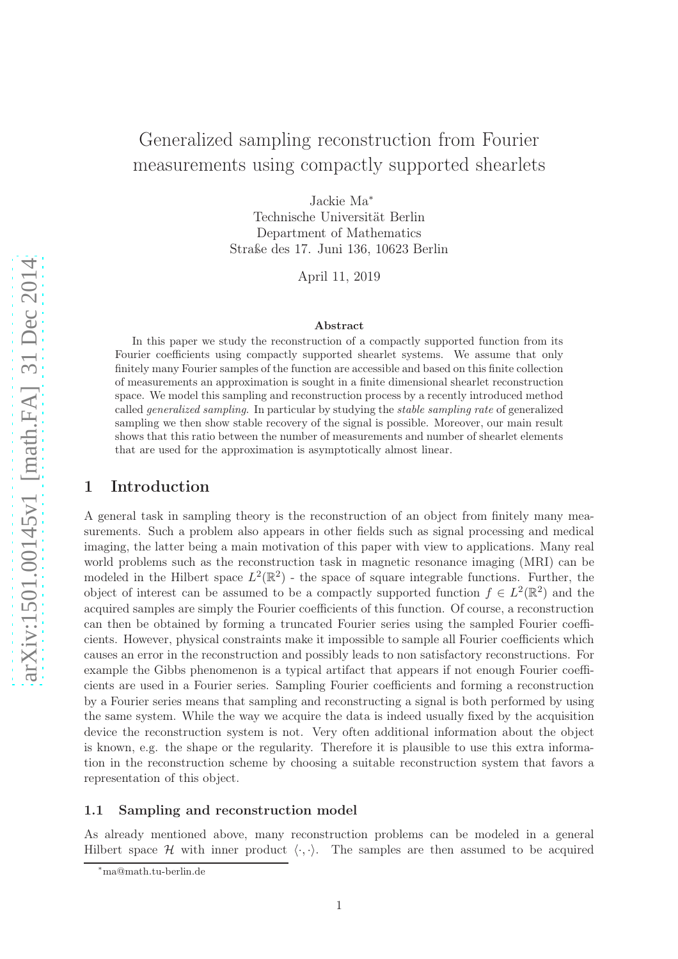# Generalized sampling reconstruction from Fourier measurements using compactly supported shearlets

Jackie Ma<sup>∗</sup> Technische Universität Berlin Department of Mathematics Straße des 17. Juni 136, 10623 Berlin

April 11, 2019

#### Abstract

In this paper we study the reconstruction of a compactly supported function from its Fourier coefficients using compactly supported shearlet systems. We assume that only finitely many Fourier samples of the function are accessible and based on this finite collection of measurements an approximation is sought in a finite dimensional shearlet reconstruction space. We model this sampling and reconstruction process by a recently introduced method called generalized sampling. In particular by studying the stable sampling rate of generalized sampling we then show stable recovery of the signal is possible. Moreover, our main result shows that this ratio between the number of measurements and number of shearlet elements that are used for the approximation is asymptotically almost linear.

# 1 Introduction

A general task in sampling theory is the reconstruction of an object from finitely many measurements. Such a problem also appears in other fields such as signal processing and medical imaging, the latter being a main motivation of this paper with view to applications. Many real world problems such as the reconstruction task in magnetic resonance imaging (MRI) can be modeled in the Hilbert space  $L^2(\mathbb{R}^2)$  - the space of square integrable functions. Further, the object of interest can be assumed to be a compactly supported function  $f \in L^2(\mathbb{R}^2)$  and the acquired samples are simply the Fourier coefficients of this function. Of course, a reconstruction can then be obtained by forming a truncated Fourier series using the sampled Fourier coefficients. However, physical constraints make it impossible to sample all Fourier coefficients which causes an error in the reconstruction and possibly leads to non satisfactory reconstructions. For example the Gibbs phenomenon is a typical artifact that appears if not enough Fourier coefficients are used in a Fourier series. Sampling Fourier coefficients and forming a reconstruction by a Fourier series means that sampling and reconstructing a signal is both performed by using the same system. While the way we acquire the data is indeed usually fixed by the acquisition device the reconstruction system is not. Very often additional information about the object is known, e.g. the shape or the regularity. Therefore it is plausible to use this extra information in the reconstruction scheme by choosing a suitable reconstruction system that favors a representation of this object.

#### 1.1 Sampling and reconstruction model

As already mentioned above, many reconstruction problems can be modeled in a general Hilbert space H with inner product  $\langle \cdot, \cdot \rangle$ . The samples are then assumed to be acquired

<sup>∗</sup>ma@math.tu-berlin.de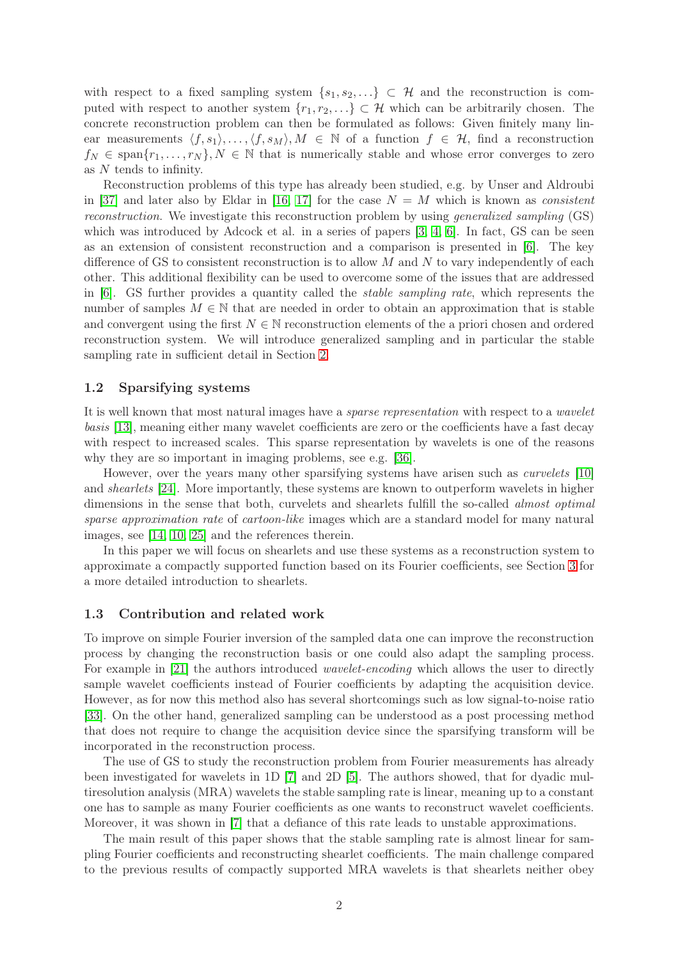with respect to a fixed sampling system  $\{s_1, s_2, ...\} \subset \mathcal{H}$  and the reconstruction is computed with respect to another system  $\{r_1, r_2, ...\} \subset \mathcal{H}$  which can be arbitrarily chosen. The concrete reconstruction problem can then be formulated as follows: Given finitely many linear measurements  $\langle f, s_1 \rangle, \ldots, \langle f, s_M \rangle, M \in \mathbb{N}$  of a function  $f \in \mathcal{H}$ , find a reconstruction  $f_N \in \text{span}\{r_1,\ldots,r_N\}, N \in \mathbb{N}$  that is numerically stable and whose error converges to zero as N tends to infinity.

Reconstruction problems of this type has already been studied, e.g. by Unser and Aldroubi in [\[37\]](#page-19-0) and later also by Eldar in [\[16,](#page-18-0) [17\]](#page-18-1) for the case  $N = M$  which is known as *consistent* reconstruction. We investigate this reconstruction problem by using generalized sampling (GS) which was introduced by Adcock et al. in a series of papers [\[3,](#page-17-0) [4,](#page-17-1) [6\]](#page-18-2). In fact, GS can be seen as an extension of consistent reconstruction and a comparison is presented in [\[6\]](#page-18-2). The key difference of GS to consistent reconstruction is to allow  $M$  and  $N$  to vary independently of each other. This additional flexibility can be used to overcome some of the issues that are addressed in  $[6]$ . GS further provides a quantity called the *stable sampling rate*, which represents the number of samples  $M \in \mathbb{N}$  that are needed in order to obtain an approximation that is stable and convergent using the first  $N \in \mathbb{N}$  reconstruction elements of the a priori chosen and ordered reconstruction system. We will introduce generalized sampling and in particular the stable sampling rate in sufficient detail in Section [2.](#page-2-0)

### 1.2 Sparsifying systems

It is well known that most natural images have a *sparse representation* with respect to a *wavelet* basis [\[13\]](#page-18-3), meaning either many wavelet coefficients are zero or the coefficients have a fast decay with respect to increased scales. This sparse representation by wavelets is one of the reasons why they are so important in imaging problems, see e.g. [\[36\]](#page-19-1).

However, over the years many other sparsifying systems have arisen such as curvelets [\[10\]](#page-18-4) and *shearlets* [\[24\]](#page-19-2). More importantly, these systems are known to outperform wavelets in higher dimensions in the sense that both, curvelets and shearlets fulfill the so-called *almost optimal* sparse approximation rate of cartoon-like images which are a standard model for many natural images, see [\[14,](#page-18-5) [10,](#page-18-4) [25\]](#page-19-3) and the references therein.

In this paper we will focus on shearlets and use these systems as a reconstruction system to approximate a compactly supported function based on its Fourier coefficients, see Section [3](#page-4-0) for a more detailed introduction to shearlets.

#### 1.3 Contribution and related work

To improve on simple Fourier inversion of the sampled data one can improve the reconstruction process by changing the reconstruction basis or one could also adapt the sampling process. For example in [\[21\]](#page-18-6) the authors introduced *wavelet-encoding* which allows the user to directly sample wavelet coefficients instead of Fourier coefficients by adapting the acquisition device. However, as for now this method also has several shortcomings such as low signal-to-noise ratio [\[33\]](#page-19-4). On the other hand, generalized sampling can be understood as a post processing method that does not require to change the acquisition device since the sparsifying transform will be incorporated in the reconstruction process.

The use of GS to study the reconstruction problem from Fourier measurements has already been investigated for wavelets in 1D [\[7\]](#page-18-7) and 2D [\[5\]](#page-17-2). The authors showed, that for dyadic multiresolution analysis (MRA) wavelets the stable sampling rate is linear, meaning up to a constant one has to sample as many Fourier coefficients as one wants to reconstruct wavelet coefficients. Moreover, it was shown in [\[7\]](#page-18-7) that a defiance of this rate leads to unstable approximations.

The main result of this paper shows that the stable sampling rate is almost linear for sampling Fourier coefficients and reconstructing shearlet coefficients. The main challenge compared to the previous results of compactly supported MRA wavelets is that shearlets neither obey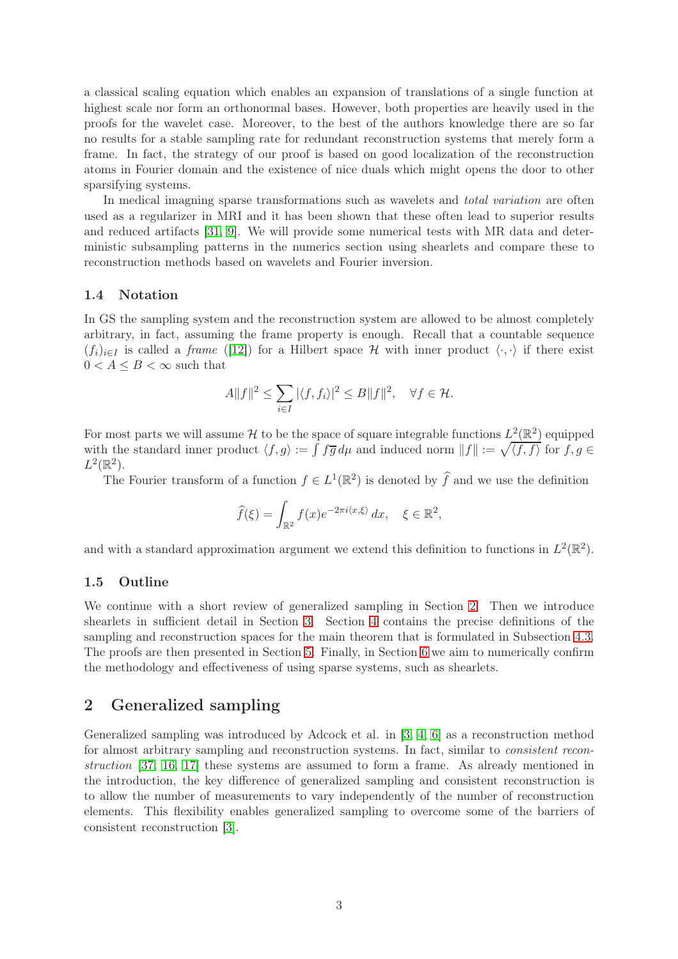a classical scaling equation which enables an expansion of translations of a single function at highest scale nor form an orthonormal bases. However, both properties are heavily used in the proofs for the wavelet case. Moreover, to the best of the authors knowledge there are so far no results for a stable sampling rate for redundant reconstruction systems that merely form a frame. In fact, the strategy of our proof is based on good localization of the reconstruction atoms in Fourier domain and the existence of nice duals which might opens the door to other sparsifying systems.

In medical imagning sparse transformations such as wavelets and *total variation* are often used as a regularizer in MRI and it has been shown that these often lead to superior results and reduced artifacts [\[31,](#page-19-5) [9\]](#page-18-8). We will provide some numerical tests with MR data and deterministic subsampling patterns in the numerics section using shearlets and compare these to reconstruction methods based on wavelets and Fourier inversion.

### 1.4 Notation

In GS the sampling system and the reconstruction system are allowed to be almost completely arbitrary, in fact, assuming the frame property is enough. Recall that a countable sequence  $(f_i)_{i\in I}$  is called a *frame* ([\[12\]](#page-18-9)) for a Hilbert space H with inner product  $\langle \cdot, \cdot \rangle$  if there exist  $0 < A \leq B < \infty$  such that

$$
A||f||^2 \le \sum_{i \in I} |\langle f, f_i \rangle|^2 \le B||f||^2, \quad \forall f \in \mathcal{H}.
$$

For most parts we will assume H to be the space of square integrable functions  $L^2(\mathbb{R}^2)$  equipped with the standard inner product  $\langle f, g \rangle := \int f \overline{g} d\mu$  and induced norm  $||f|| := \sqrt{\langle f, f \rangle}$  for  $f, g \in$  $L^2(\mathbb{R}^2)$ .

The Fourier transform of a function  $f \in L^1(\mathbb{R}^2)$  is denoted by  $\widehat{f}$  and we use the definition

$$
\widehat{f}(\xi) = \int_{\mathbb{R}^2} f(x) e^{-2\pi i \langle x, \xi \rangle} dx, \quad \xi \in \mathbb{R}^2,
$$

and with a standard approximation argument we extend this definition to functions in  $L^2(\mathbb{R}^2)$ .

### 1.5 Outline

We continue with a short review of generalized sampling in Section [2.](#page-2-0) Then we introduce shearlets in sufficient detail in Section [3.](#page-4-0) Section [4](#page-6-0) contains the precise definitions of the sampling and reconstruction spaces for the main theorem that is formulated in Subsection [4.3.](#page-8-0) The proofs are then presented in Section [5.](#page-8-1) Finally, in Section [6](#page-14-0) we aim to numerically confirm the methodology and effectiveness of using sparse systems, such as shearlets.

# <span id="page-2-0"></span>2 Generalized sampling

Generalized sampling was introduced by Adcock et al. in [\[3,](#page-17-0) [4,](#page-17-1) [6\]](#page-18-2) as a reconstruction method for almost arbitrary sampling and reconstruction systems. In fact, similar to consistent reconstruction [\[37,](#page-19-0) [16,](#page-18-0) [17\]](#page-18-1) these systems are assumed to form a frame. As already mentioned in the introduction, the key difference of generalized sampling and consistent reconstruction is to allow the number of measurements to vary independently of the number of reconstruction elements. This flexibility enables generalized sampling to overcome some of the barriers of consistent reconstruction [\[3\]](#page-17-0).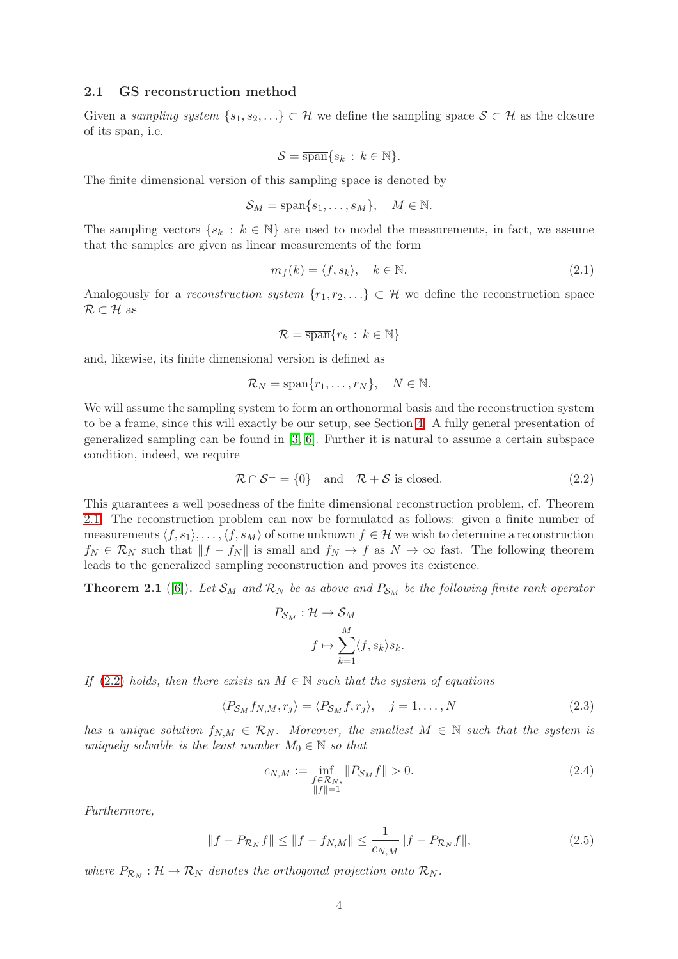#### 2.1 GS reconstruction method

Given a sampling system  $\{s_1, s_2, \ldots\} \subset \mathcal{H}$  we define the sampling space  $\mathcal{S} \subset \mathcal{H}$  as the closure of its span, i.e.

$$
S = \overline{\operatorname{span}}\{s_k : k \in \mathbb{N}\}.
$$

The finite dimensional version of this sampling space is denoted by

$$
S_M = \text{span}\{s_1, \dots, s_M\}, \quad M \in \mathbb{N}.
$$

The sampling vectors  $\{s_k : k \in \mathbb{N}\}\$ are used to model the measurements, in fact, we assume that the samples are given as linear measurements of the form

$$
m_f(k) = \langle f, s_k \rangle, \quad k \in \mathbb{N}.
$$
\n(2.1)

Analogously for a reconstruction system  $\{r_1, r_2, ...\} \subset \mathcal{H}$  we define the reconstruction space  $\mathcal{R} \subset \mathcal{H}$  as

<span id="page-3-1"></span>
$$
\mathcal{R} = \overline{\operatorname{span}}\{r_k \,:\, k \in \mathbb{N}\}
$$

and, likewise, its finite dimensional version is defined as

$$
\mathcal{R}_N = \text{span}\{r_1, \dots, r_N\}, \quad N \in \mathbb{N}.
$$

We will assume the sampling system to form an orthonormal basis and the reconstruction system to be a frame, since this will exactly be our setup, see Section [4.](#page-6-0) A fully general presentation of generalized sampling can be found in [\[3,](#page-17-0) [6\]](#page-18-2). Further it is natural to assume a certain subspace condition, indeed, we require

$$
\mathcal{R} \cap \mathcal{S}^{\perp} = \{0\} \quad \text{and} \quad \mathcal{R} + \mathcal{S} \text{ is closed.} \tag{2.2}
$$

This guarantees a well posedness of the finite dimensional reconstruction problem, cf. Theorem [2.1.](#page-3-0) The reconstruction problem can now be formulated as follows: given a finite number of measurements  $\langle f, s_1 \rangle, \ldots, \langle f, s_M \rangle$  of some unknown  $f \in \mathcal{H}$  we wish to determine a reconstruction  $f_N \in \mathcal{R}_N$  such that  $||f - f_N||$  is small and  $f_N \to f$  as  $N \to \infty$  fast. The following theorem leads to the generalized sampling reconstruction and proves its existence.

<span id="page-3-0"></span>**Theorem 2.1** ([\[6\]](#page-18-2)). Let  $S_M$  and  $\mathcal{R}_N$  be as above and  $P_{S_M}$  be the following finite rank operator

$$
P_{S_M} : \mathcal{H} \to S_M
$$

$$
f \mapsto \sum_{k=1}^M \langle f, s_k \rangle s_k.
$$

If [\(2.2\)](#page-3-1) holds, then there exists an  $M \in \mathbb{N}$  such that the system of equations

$$
\langle P_{\mathcal{S}_M} f_{N,M}, r_j \rangle = \langle P_{\mathcal{S}_M} f, r_j \rangle, \quad j = 1, \dots, N \tag{2.3}
$$

has a unique solution  $f_{NM} \in \mathcal{R}_N$ . Moreover, the smallest  $M \in \mathbb{N}$  such that the system is uniquely solvable is the least number  $M_0 \in \mathbb{N}$  so that

<span id="page-3-3"></span><span id="page-3-2"></span>
$$
c_{N,M} := \inf_{\substack{f \in \mathcal{R}_N, \\ \|f\| = 1}} \|P_{\mathcal{S}_M} f\| > 0.
$$
\n(2.4)

Furthermore,

$$
||f - P_{\mathcal{R}_N} f|| \le ||f - f_{N,M}|| \le \frac{1}{c_{N,M}} ||f - P_{\mathcal{R}_N} f||,
$$
\n(2.5)

where  $P_{\mathcal{R}_N} : \mathcal{H} \to \mathcal{R}_N$  denotes the orthogonal projection onto  $\mathcal{R}_N$ .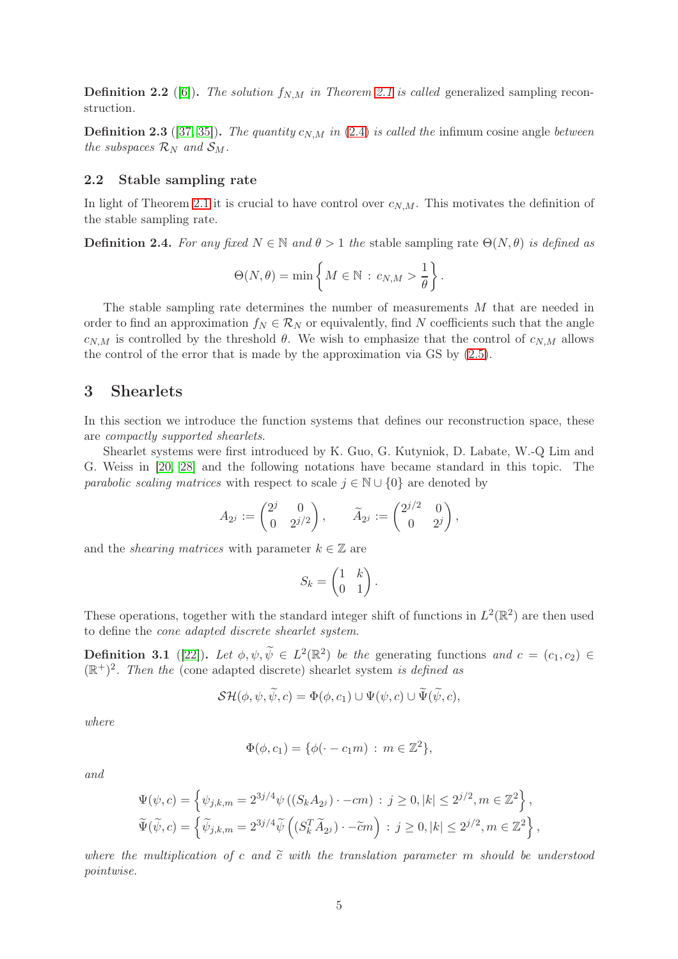**Definition 2.2** ([\[6\]](#page-18-2)). The solution  $f_{N,M}$  in Theorem [2.1](#page-3-0) is called generalized sampling reconstruction.

**Definition 2.3** ([\[37,](#page-19-0) [35\]](#page-19-6)). The quantity  $c_{N,M}$  in [\(2.4\)](#page-3-2) is called the infimum cosine angle between the subspaces  $\mathcal{R}_N$  and  $\mathcal{S}_M$ .

### 2.2 Stable sampling rate

In light of Theorem [2.1](#page-3-0) it is crucial to have control over  $c_{N,M}$ . This motivates the definition of the stable sampling rate.

**Definition 2.4.** For any fixed  $N \in \mathbb{N}$  and  $\theta > 1$  the stable sampling rate  $\Theta(N, \theta)$  is defined as

$$
\Theta(N,\theta)=\min\left\{M\in\mathbb{N}\,:\,c_{N,M}>\frac{1}{\theta}\right\}.
$$

The stable sampling rate determines the number of measurements M that are needed in order to find an approximation  $f_N \in \mathcal{R}_N$  or equivalently, find N coefficients such that the angle  $c_{N,M}$  is controlled by the threshold  $\theta$ . We wish to emphasize that the control of  $c_{N,M}$  allows the control of the error that is made by the approximation via GS by [\(2.5\)](#page-3-3).

# <span id="page-4-0"></span>3 Shearlets

In this section we introduce the function systems that defines our reconstruction space, these are compactly supported shearlets.

Shearlet systems were first introduced by K. Guo, G. Kutyniok, D. Labate, W.-Q Lim and G. Weiss in [\[20,](#page-18-10) [28\]](#page-19-7) and the following notations have became standard in this topic. The *parabolic scaling matrices* with respect to scale  $j \in \mathbb{N} \cup \{0\}$  are denoted by

$$
A_{2^j} := \begin{pmatrix} 2^j & 0 \\ 0 & 2^{j/2} \end{pmatrix}, \qquad \widetilde{A}_{2^j} := \begin{pmatrix} 2^{j/2} & 0 \\ 0 & 2^j \end{pmatrix},
$$

and the *shearing matrices* with parameter  $k \in \mathbb{Z}$  are

$$
S_k = \begin{pmatrix} 1 & k \\ 0 & 1 \end{pmatrix}.
$$

These operations, together with the standard integer shift of functions in  $L^2(\mathbb{R}^2)$  are then used to define the cone adapted discrete shearlet system.

<span id="page-4-1"></span>**Definition 3.1** ([\[22\]](#page-18-11)). Let  $\phi, \psi, \widetilde{\psi} \in L^2(\mathbb{R}^2)$  be the generating functions and  $c = (c_1, c_2) \in$  $(\mathbb{R}^+)^2$ . Then the (cone adapted discrete) shearlet system is defined as

$$
\mathcal{SH}(\phi, \psi, \tilde{\psi}, c) = \Phi(\phi, c_1) \cup \Psi(\psi, c) \cup \Psi(\tilde{\psi}, c),
$$

where

$$
\Phi(\phi, c_1) = \{ \phi(\cdot - c_1 m) : m \in \mathbb{Z}^2 \},
$$

and

$$
\Psi(\psi, c) = \left\{ \psi_{j,k,m} = 2^{3j/4} \psi \left( (S_k A_{2j}) \cdot -cm \right) : j \ge 0, |k| \le 2^{j/2}, m \in \mathbb{Z}^2 \right\}, \n\widetilde{\Psi}(\widetilde{\psi}, c) = \left\{ \widetilde{\psi}_{j,k,m} = 2^{3j/4} \widetilde{\psi} \left( (S_k^T \widetilde{A}_{2j}) \cdot -\widetilde{c}m \right) : j \ge 0, |k| \le 2^{j/2}, m \in \mathbb{Z}^2 \right\},
$$

where the multiplication of c and  $\tilde{c}$  with the translation parameter m should be understood pointwise.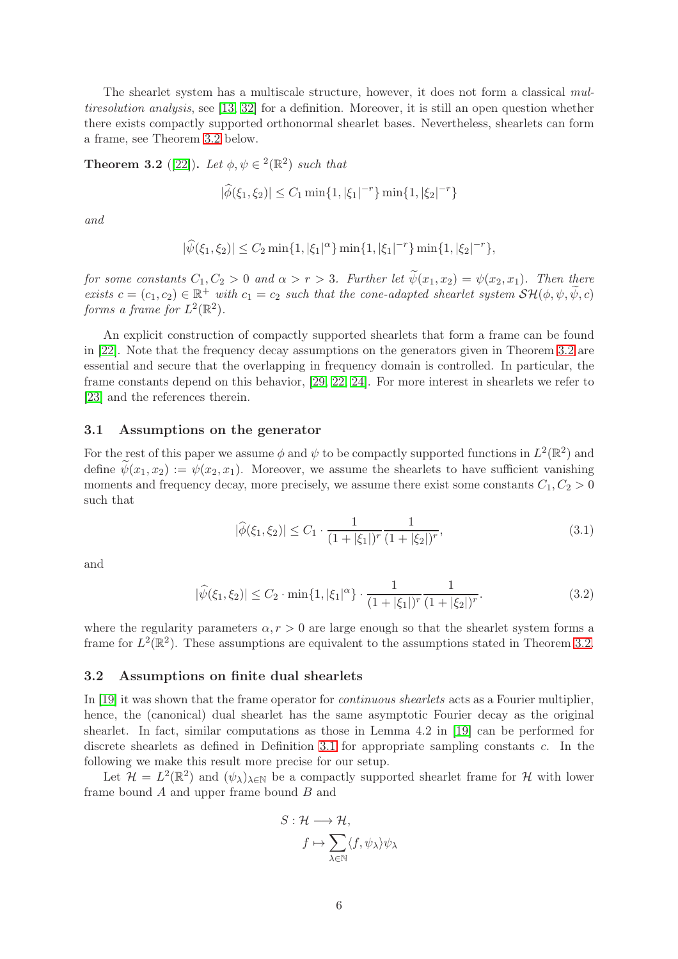The shearlet system has a multiscale structure, however, it does not form a classical multiresolution analysis, see [\[13,](#page-18-3) [32\]](#page-19-8) for a definition. Moreover, it is still an open question whether there exists compactly supported orthonormal shearlet bases. Nevertheless, shearlets can form a frame, see Theorem [3.2](#page-5-0) below.

<span id="page-5-0"></span>**Theorem 3.2** ([\[22\]](#page-18-11)). Let  $\phi, \psi \in \{2\}$  such that

$$
|\widehat{\phi}(\xi_1, \xi_2)| \le C_1 \min\{1, |\xi_1|^{-r}\} \min\{1, |\xi_2|^{-r}\}\
$$

and

$$
|\widehat{\psi}(\xi_1,\xi_2)| \le C_2 \min\{1,|\xi_1|^\alpha\} \min\{1,|\xi_1|^{-r}\} \min\{1,|\xi_2|^{-r}\},\
$$

for some constants  $C_1, C_2 > 0$  and  $\alpha > r > 3$ . Further let  $\widetilde{\psi}(x_1, x_2) = \psi(x_2, x_1)$ . Then there exists  $c = (c_1, c_2) \in \mathbb{R}^+$  with  $c_1 = c_2$  such that the cone-adapted shearlet system  $\mathcal{SH}(\phi, \psi, \widetilde{\psi}, c)$ forms a frame for  $L^2(\mathbb{R}^2)$ .

An explicit construction of compactly supported shearlets that form a frame can be found in [\[22\]](#page-18-11). Note that the frequency decay assumptions on the generators given in Theorem [3.2](#page-5-0) are essential and secure that the overlapping in frequency domain is controlled. In particular, the frame constants depend on this behavior, [\[29,](#page-19-9) [22,](#page-18-11) [24\]](#page-19-2). For more interest in shearlets we refer to [\[23\]](#page-19-10) and the references therein.

### <span id="page-5-1"></span>3.1 Assumptions on the generator

For the rest of this paper we assume  $\phi$  and  $\psi$  to be compactly supported functions in  $L^2(\mathbb{R}^2)$  and define  $\psi(x_1, x_2) := \psi(x_2, x_1)$ . Moreover, we assume the shearlets to have sufficient vanishing moments and frequency decay, more precisely, we assume there exist some constants  $C_1, C_2 > 0$ such that

<span id="page-5-4"></span><span id="page-5-3"></span>
$$
|\widehat{\phi}(\xi_1, \xi_2)| \le C_1 \cdot \frac{1}{(1 + |\xi_1|)^r} \frac{1}{(1 + |\xi_2|)^r},\tag{3.1}
$$

and

$$
|\widehat{\psi}(\xi_1, \xi_2)| \le C_2 \cdot \min\{1, |\xi_1|^\alpha\} \cdot \frac{1}{(1 + |\xi_1|)^r} \frac{1}{(1 + |\xi_2|)^r}.\tag{3.2}
$$

where the regularity parameters  $\alpha, r > 0$  are large enough so that the shearlet system forms a frame for  $L^2(\mathbb{R}^2)$ . These assumptions are equivalent to the assumptions stated in Theorem [3.2.](#page-5-0)

#### <span id="page-5-2"></span>3.2 Assumptions on finite dual shearlets

In [\[19\]](#page-18-12) it was shown that the frame operator for continuous shearlets acts as a Fourier multiplier, hence, the (canonical) dual shearlet has the same asymptotic Fourier decay as the original shearlet. In fact, similar computations as those in Lemma 4.2 in [\[19\]](#page-18-12) can be performed for discrete shearlets as defined in Definition [3.1](#page-4-1) for appropriate sampling constants  $c$ . In the following we make this result more precise for our setup.

Let  $\mathcal{H} = L^2(\mathbb{R}^2)$  and  $(\psi_\lambda)_{\lambda \in \mathbb{N}}$  be a compactly supported shearlet frame for H with lower frame bound A and upper frame bound B and

$$
S: \mathcal{H} \longrightarrow \mathcal{H},
$$

$$
f \mapsto \sum_{\lambda \in \mathbb{N}} \langle f, \psi_{\lambda} \rangle \psi_{\lambda}
$$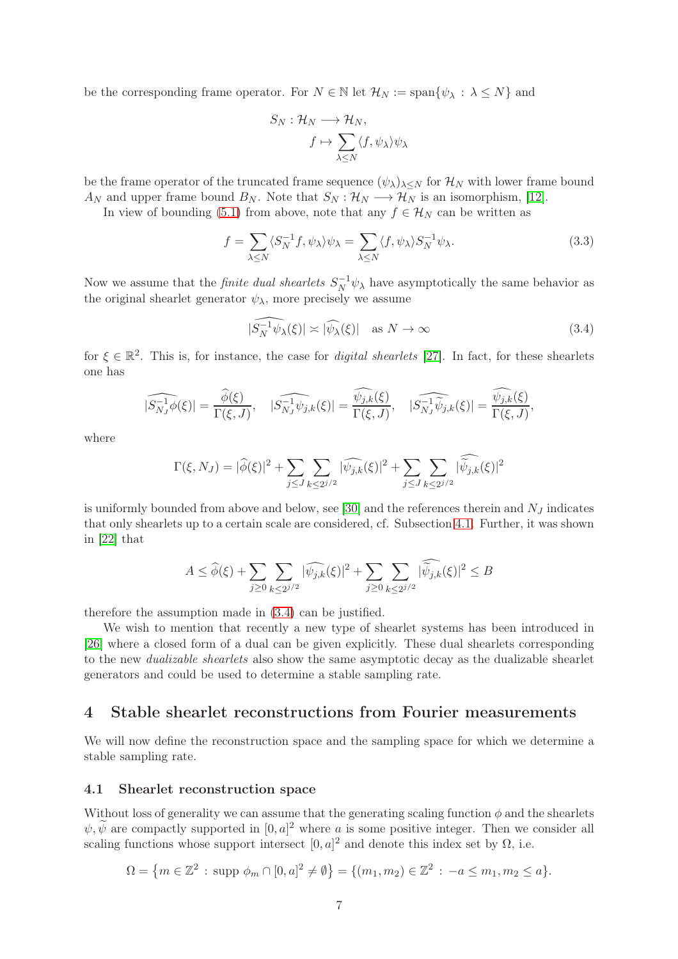be the corresponding frame operator. For  $N \in \mathbb{N}$  let  $\mathcal{H}_N := \text{span}\{\psi_\lambda : \lambda \leq N\}$  and

$$
S_N: \mathcal{H}_N \longrightarrow \mathcal{H}_N,
$$

$$
f \mapsto \sum_{\lambda \le N} \langle f, \psi_\lambda \rangle \psi_\lambda
$$

be the frame operator of the truncated frame sequence  $(\psi_{\lambda})_{\lambda\leq N}$  for  $\mathcal{H}_N$  with lower frame bound  $A_N$  and upper frame bound  $B_N$ . Note that  $S_N : \mathcal{H}_N \longrightarrow \mathcal{H}_N$  is an isomorphism, [\[12\]](#page-18-9).

In view of bounding [\(5.1\)](#page-8-2) from above, note that any  $f \in \mathcal{H}_N$  can be written as

$$
f = \sum_{\lambda \le N} \langle S_N^{-1} f, \psi_\lambda \rangle \psi_\lambda = \sum_{\lambda \le N} \langle f, \psi_\lambda \rangle S_N^{-1} \psi_\lambda.
$$
 (3.3)

Now we assume that the *finite dual shearlets*  $S_N^{-1} \psi_\lambda$  have asymptotically the same behavior as the original shearlet generator  $\psi_{\lambda}$ , more precisely we assume

<span id="page-6-2"></span>
$$
|\widehat{S_N^{-1}\psi_\lambda}(\xi)| \asymp |\widehat{\psi_\lambda}(\xi)| \quad \text{as } N \to \infty \tag{3.4}
$$

for  $\xi \in \mathbb{R}^2$ . This is, for instance, the case for *digital shearlets* [\[27\]](#page-19-11). In fact, for these shearlets one has

$$
|\widehat{S_{N_J}^{-1}\phi}(\xi)| = \frac{\widehat{\phi}(\xi)}{\Gamma(\xi, J)}, \quad |\widehat{S_{N_J}^{-1}\psi_{j,k}}(\xi)| = \frac{\widehat{\psi_{j,k}}(\xi)}{\Gamma(\xi, J)}, \quad |\widehat{S_{N_J}^{-1}\psi_{j,k}}(\xi)| = \frac{\widehat{\psi_{j,k}}(\xi)}{\Gamma(\xi, J)},
$$

where

$$
\Gamma(\xi, N_J) = |\widehat{\phi}(\xi)|^2 + \sum_{j \le J} \sum_{k \le 2^{j/2}} |\widehat{\psi_{j,k}}(\xi)|^2 + \sum_{j \le J} \sum_{k \le 2^{j/2}} |\widehat{\widetilde{\psi}_{j,k}}(\xi)|^2
$$

is uniformly bounded from above and below, see [\[30\]](#page-19-12) and the references therein and  $N_J$  indicates that only shearlets up to a certain scale are considered, cf. Subsection [4.1.](#page-6-1) Further, it was shown in [\[22\]](#page-18-11) that

$$
A \leq \widehat{\phi}(\xi) + \sum_{j \geq 0} \sum_{k \leq 2^{j/2}} |\widehat{\psi_{j,k}}(\xi)|^2 + \sum_{j \geq 0} \sum_{k \leq 2^{j/2}} |\widetilde{\psi}_{j,k}(\xi)|^2 \leq B
$$

therefore the assumption made in [\(3.4\)](#page-6-2) can be justified.

We wish to mention that recently a new type of shearlet systems has been introduced in [\[26\]](#page-19-13) where a closed form of a dual can be given explicitly. These dual shearlets corresponding to the new *dualizable shearlets* also show the same asymptotic decay as the dualizable shearlet generators and could be used to determine a stable sampling rate.

# <span id="page-6-0"></span>4 Stable shearlet reconstructions from Fourier measurements

We will now define the reconstruction space and the sampling space for which we determine a stable sampling rate.

#### <span id="page-6-1"></span>4.1 Shearlet reconstruction space

Without loss of generality we can assume that the generating scaling function  $\phi$  and the shearlets  $\psi, \tilde{\psi}$  are compactly supported in  $[0, a]^2$  where a is some positive integer. Then we consider all scaling functions whose support intersect  $[0, a]^2$  and denote this index set by  $\Omega$ , i.e.

$$
\Omega = \{m \in \mathbb{Z}^2 : \text{supp } \phi_m \cap [0, a]^2 \neq \emptyset\} = \{(m_1, m_2) \in \mathbb{Z}^2 : -a \leq m_1, m_2 \leq a\}.
$$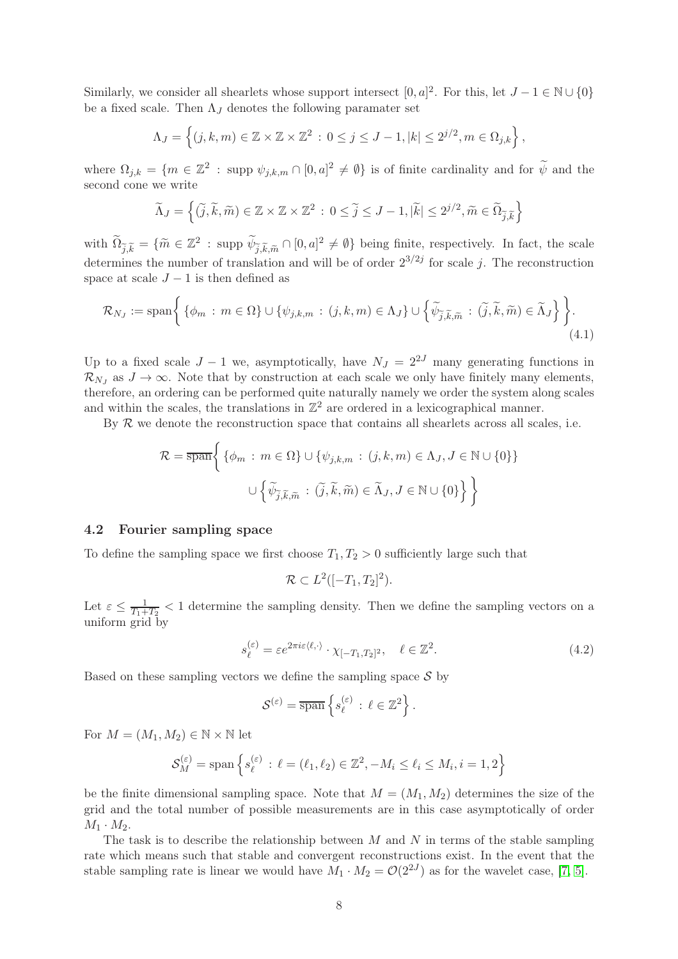Similarly, we consider all shearlets whose support intersect  $[0, a]^2$ . For this, let  $J - 1 \in \mathbb{N} \cup \{0\}$ be a fixed scale. Then  $\Lambda_J$  denotes the following paramater set

$$
\Lambda_J = \left\{ (j,k,m) \in \mathbb{Z} \times \mathbb{Z} \times \mathbb{Z}^2 \, : \, 0 \le j \le J-1, |k| \le 2^{j/2}, m \in \Omega_{j,k} \right\},\,
$$

where  $\Omega_{j,k} = \{m \in \mathbb{Z}^2 : \text{supp } \psi_{j,k,m} \cap [0,a]^2 \neq \emptyset\}$  is of finite cardinality and for  $\widetilde{\psi}$  and the second cone we write

$$
\widetilde{\Lambda}_J=\left\{(\widetilde{j},\widetilde{k},\widetilde{m})\in\mathbb{Z}\times\mathbb{Z}\times\mathbb{Z}^2\,:\,0\leq\widetilde{j}\leq J-1,|\widetilde{k}|\leq 2^{j/2},\widetilde{m}\in\widetilde{\Omega}_{\widetilde{j},\widetilde{k}}\right\}
$$

with  $\widetilde{\Omega}_{\widetilde{j},\widetilde{k}} = \{\widetilde{m} \in \mathbb{Z}^2 : \text{supp } \widetilde{\psi}_{\widetilde{j},\widetilde{k},\widetilde{m}} \cap [0,a]^2 \neq \emptyset\}$  being finite, respectively. In fact, the scale determines the number of translation and will be of order  $2^{3/2j}$  for scale j. The reconstruction space at scale  $J-1$  is then defined as

$$
\mathcal{R}_{N_J} := \text{span}\left\{ \left\{ \phi_m : m \in \Omega \right\} \cup \left\{ \psi_{j,k,m} : (j,k,m) \in \Lambda_J \right\} \cup \left\{ \widetilde{\psi}_{\widetilde{j},\widetilde{k},\widetilde{m}} : (\widetilde{j},\widetilde{k},\widetilde{m}) \in \widetilde{\Lambda}_J \right\} \right\}.
$$
\n(4.1)

Up to a fixed scale  $J - 1$  we, asymptotically, have  $N_J = 2^{2J}$  many generating functions in  $\mathcal{R}_{N_J}$  as  $J \to \infty$ . Note that by construction at each scale we only have finitely many elements, therefore, an ordering can be performed quite naturally namely we order the system along scales and within the scales, the translations in  $\mathbb{Z}^2$  are ordered in a lexicographical manner.

By  $R$  we denote the reconstruction space that contains all shearlets across all scales, i.e.

$$
\mathcal{R} = \overline{\text{span}} \Bigg\{ \{ \phi_m : m \in \Omega \} \cup \{ \psi_{j,k,m} : (j,k,m) \in \Lambda_J, J \in \mathbb{N} \cup \{0\} \} \Bigg\}
$$

$$
\cup \left\{ \widetilde{\psi}_{\widetilde{j},\widetilde{k},\widetilde{m}} : (\widetilde{j},\widetilde{k},\widetilde{m}) \in \widetilde{\Lambda}_J, J \in \mathbb{N} \cup \{0\} \right\} \Bigg\}
$$

#### 4.2 Fourier sampling space

To define the sampling space we first choose  $T_1, T_2 > 0$  sufficiently large such that

$$
\mathcal{R} \subset L^2([-T_1,T_2]^2).
$$

Let  $\varepsilon \leq \frac{1}{T_1+1}$  $\frac{1}{T_1+T_2}$  < 1 determine the sampling density. Then we define the sampling vectors on a uniform grid by

$$
s_{\ell}^{(\varepsilon)} = \varepsilon e^{2\pi i \varepsilon \langle \ell, \cdot \rangle} \cdot \chi_{[-T_1, T_2]^2}, \quad \ell \in \mathbb{Z}^2.
$$
 (4.2)

Based on these sampling vectors we define the sampling space  $\mathcal S$  by

$$
\mathcal{S}^{(\varepsilon)} = \overline{\text{span}} \left\{ s_{\ell}^{(\varepsilon)} \, : \, \ell \in \mathbb{Z}^2 \right\}.
$$

For  $M = (M_1, M_2) \in \mathbb{N} \times \mathbb{N}$  let

$$
\mathcal{S}_{M}^{(\varepsilon)} = \text{span}\left\{s_{\ell}^{(\varepsilon)}\,:\,\ell = (\ell_1,\ell_2)\in\mathbb{Z}^2, -M_i\leq \ell_i\leq M_i, i=1,2\right\}
$$

be the finite dimensional sampling space. Note that  $M = (M_1, M_2)$  determines the size of the grid and the total number of possible measurements are in this case asymptotically of order  $M_1 \cdot M_2$ .

The task is to describe the relationship between  $M$  and  $N$  in terms of the stable sampling rate which means such that stable and convergent reconstructions exist. In the event that the stable sampling rate is linear we would have  $M_1 \cdot M_2 = \mathcal{O}(2^{2J})$  as for the wavelet case, [\[7,](#page-18-7) [5\]](#page-17-2).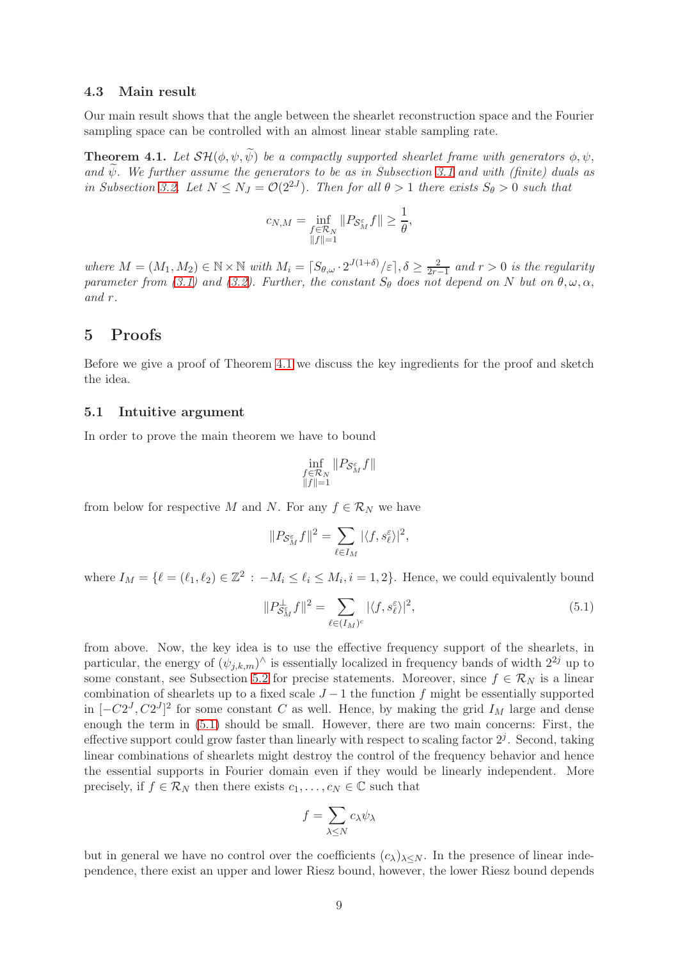#### <span id="page-8-0"></span>4.3 Main result

Our main result shows that the angle between the shearlet reconstruction space and the Fourier sampling space can be controlled with an almost linear stable sampling rate.

<span id="page-8-3"></span>**Theorem 4.1.** Let  $\mathcal{SH}(\phi, \psi, \widetilde{\psi})$  be a compactly supported shearlet frame with generators  $\phi, \psi$ , and  $\widetilde{\psi}$ . We further assume the generators to be as in Subsection [3.1](#page-5-1) and with (finite) duals as in Subsection [3.2.](#page-5-2) Let  $N \leq N_J = \mathcal{O}(2^{2J})$ . Then for all  $\theta > 1$  there exists  $S_{\theta} > 0$  such that

$$
c_{N,M} = \inf_{\substack{f \in \mathcal{R}_N \\ \|f\| = 1}} \|P_{\mathcal{S}_M^{\varepsilon}} f\| \ge \frac{1}{\theta},
$$

where  $M = (M_1, M_2) \in \mathbb{N} \times \mathbb{N}$  with  $M_i = \lceil S_{\theta, \omega} \cdot 2^{J(1+\delta)}/\varepsilon \rceil, \delta \geq \frac{2}{2r}$  $\frac{2}{2r-1}$  and  $r > 0$  is the regularity parameter from [\(3.1\)](#page-5-3) and [\(3.2\)](#page-5-4). Further, the constant  $S_{\theta}$  does not depend on N but on  $\theta, \omega, \alpha$ , and r.

# <span id="page-8-1"></span>5 Proofs

Before we give a proof of Theorem [4.1](#page-8-3) we discuss the key ingredients for the proof and sketch the idea.

#### 5.1 Intuitive argument

In order to prove the main theorem we have to bound

<span id="page-8-2"></span>
$$
\inf_{\substack{f\in\mathcal{R}_N\\ \|f\|=1}}\|P_{\mathcal{S}_M^{\varepsilon}}f\|
$$

from below for respective M and N. For any  $f \in \mathcal{R}_N$  we have

$$
||P_{\mathcal{S}_{M}^{\varepsilon}}f||^{2} = \sum_{\ell \in I_{M}} |\langle f, s_{\ell}^{\varepsilon} \rangle|^{2},
$$

where  $I_M = \{ \ell = (\ell_1, \ell_2) \in \mathbb{Z}^2 : -M_i \leq \ell_i \leq M_i, i = 1, 2 \}.$  Hence, we could equivalently bound

$$
||P_{\mathcal{S}_M^{\varepsilon}}^{\perp} f||^2 = \sum_{\ell \in (I_M)^c} |\langle f, s_{\ell}^{\varepsilon} \rangle|^2,
$$
\n(5.1)

from above. Now, the key idea is to use the effective frequency support of the shearlets, in particular, the energy of  $(\psi_{j,k,m})^{\wedge}$  is essentially localized in frequency bands of width  $2^{2j}$  up to some constant, see Subsection [5.2](#page-9-0) for precise statements. Moreover, since  $f \in \mathcal{R}_N$  is a linear combination of shearlets up to a fixed scale  $J-1$  the function f might be essentially supported in  $[-C2<sup>J</sup>, C2<sup>J</sup>]$ <sup>2</sup> for some constant C as well. Hence, by making the grid  $I<sub>M</sub>$  large and dense enough the term in [\(5.1\)](#page-8-2) should be small. However, there are two main concerns: First, the effective support could grow faster than linearly with respect to scaling factor  $2^j$ . Second, taking linear combinations of shearlets might destroy the control of the frequency behavior and hence the essential supports in Fourier domain even if they would be linearly independent. More precisely, if  $f \in \mathcal{R}_N$  then there exists  $c_1, \ldots, c_N \in \mathbb{C}$  such that

$$
f=\sum_{\lambda\leq N}c_\lambda\psi_\lambda
$$

but in general we have no control over the coefficients  $(c_{\lambda})_{\lambda\leq N}$ . In the presence of linear independence, there exist an upper and lower Riesz bound, however, the lower Riesz bound depends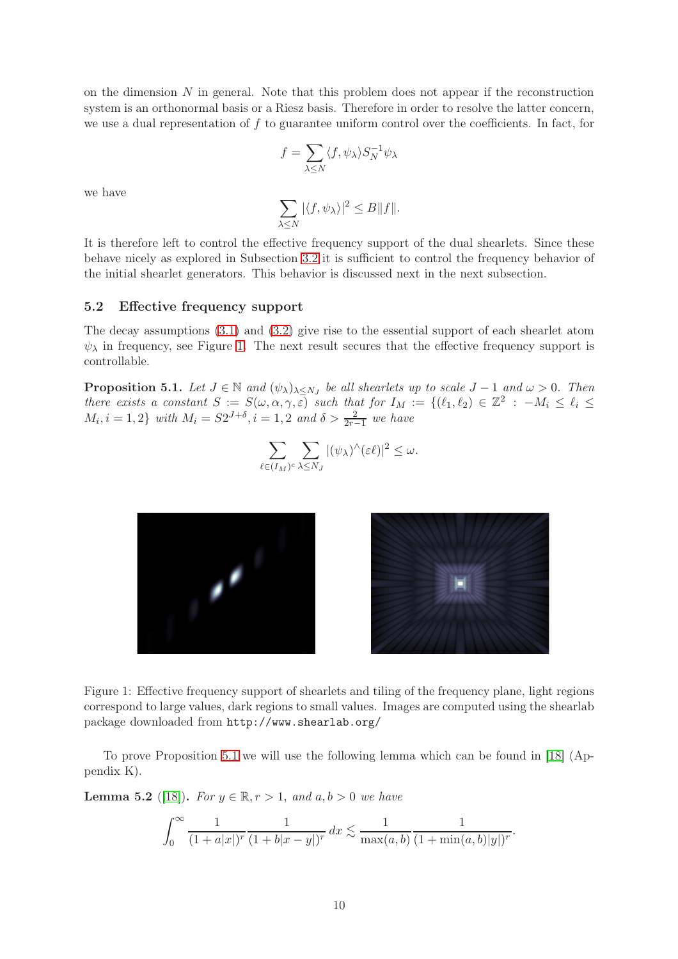on the dimension  $N$  in general. Note that this problem does not appear if the reconstruction system is an orthonormal basis or a Riesz basis. Therefore in order to resolve the latter concern, we use a dual representation of f to guarantee uniform control over the coefficients. In fact, for

$$
f=\sum_{\lambda\leq N}\langle f,\psi_\lambda\rangle S_N^{-1}\psi_\lambda
$$

we have

$$
\sum_{\lambda \le N} |\langle f, \psi_\lambda \rangle|^2 \le B \|f\|.
$$

It is therefore left to control the effective frequency support of the dual shearlets. Since these behave nicely as explored in Subsection [3.2](#page-5-2) it is sufficient to control the frequency behavior of the initial shearlet generators. This behavior is discussed next in the next subsection.

#### <span id="page-9-0"></span>5.2 Effective frequency support

The decay assumptions [\(3.1\)](#page-5-3) and [\(3.2\)](#page-5-4) give rise to the essential support of each shearlet atom  $\psi_{\lambda}$  in frequency, see Figure [1.](#page-9-1) The next result secures that the effective frequency support is controllable.

<span id="page-9-2"></span>**Proposition 5.1.** Let  $J \in \mathbb{N}$  and  $(\psi_{\lambda})_{\lambda \leq N_J}$  be all shearlets up to scale  $J-1$  and  $\omega > 0$ . Then there exists a constant  $S := S(\omega, \alpha, \gamma, \varepsilon)$  such that for  $I_M := \{(\ell_1, \ell_2) \in \mathbb{Z}^2 : -M_i \leq \ell_i \leq \varepsilon \}$  $M_i, i = 1, 2$  with  $M_i = S2^{J+\delta}, i = 1, 2$  and  $\delta > \frac{2}{2r-1}$  we have

$$
\sum_{\ell \in (I_M)^c} \sum_{\lambda \le N_J} |(\psi_\lambda)^\wedge(\varepsilon \ell)|^2 \le \omega.
$$

<span id="page-9-1"></span>



Figure 1: Effective frequency support of shearlets and tiling of the frequency plane, light regions correspond to large values, dark regions to small values. Images are computed using the shearlab package downloaded from http://www.shearlab.org/

To prove Proposition [5.1](#page-9-2) we will use the following lemma which can be found in [\[18\]](#page-18-13) (Appendix K).

<span id="page-9-3"></span>**Lemma 5.2** ([\[18\]](#page-18-13)). For  $y \in \mathbb{R}, r > 1$ , and  $a, b > 0$  we have

$$
\int_0^\infty \frac{1}{(1+a|x|)^r} \frac{1}{(1+b|x-y|)^r} dx \lesssim \frac{1}{\max(a,b)} \frac{1}{(1+\min(a,b)|y|)^r}.
$$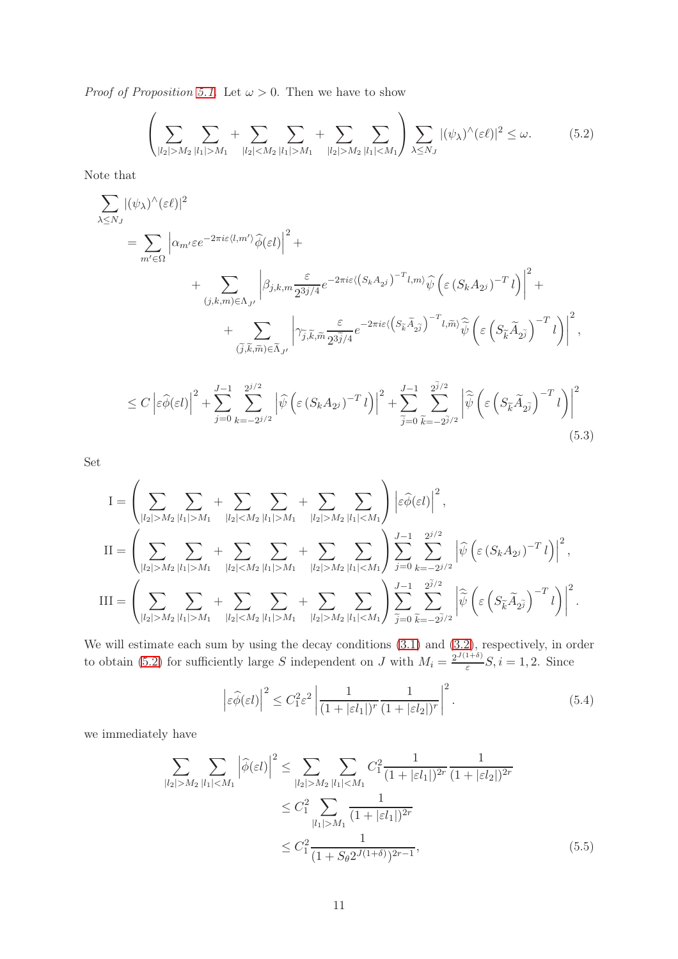*Proof of Proposition [5.1.](#page-9-2)* Let  $\omega > 0$ . Then we have to show

<span id="page-10-0"></span>
$$
\left(\sum_{|l_2|>M_2} \sum_{|l_1|>M_1} + \sum_{|l_2|M_1} + \sum_{|l_2|>M_2} \sum_{|l_1|
$$

Note that

$$
\sum_{\lambda \leq N_J} |(\psi_{\lambda})^{\wedge}(\varepsilon \ell)|^2
$$
\n
$$
= \sum_{m' \in \Omega} \left| \alpha_{m'} \varepsilon e^{-2\pi i \varepsilon \langle l, m' \rangle} \widehat{\phi}(\varepsilon l) \right|^2 + \left| \sum_{(j,k,m) \in \Lambda_{J'}} \left| \beta_{j,k,m} \frac{\varepsilon}{2^{3j/4}} e^{-2\pi i \varepsilon \langle (S_k A_{2j})^{-T} l, m \rangle} \widehat{\psi} \left( \varepsilon (S_k A_{2j})^{-T} l \right) \right|^2 + \left| \sum_{(\tilde{j},\tilde{k},\tilde{m}) \in \tilde{\Lambda}_{J'}} \left| \gamma_{\tilde{j},\tilde{k},\tilde{m}} \frac{\varepsilon}{2^{3\tilde{j}/4}} e^{-2\pi i \varepsilon \langle (S_{\tilde{k}} \tilde{A}_{2\tilde{j}})^{-T} l, \tilde{m} \rangle} \widehat{\psi} \left( \varepsilon (S_{\tilde{k}} \tilde{A}_{2\tilde{j}})^{-T} l \right) \right|^2,
$$

$$
\leq C \left| \varepsilon \widehat{\phi}(\varepsilon l) \right|^2 + \sum_{j=0}^{J-1} \sum_{k=-2^{j/2}}^{2^{j/2}} \left| \widehat{\psi} \left( \varepsilon \left( S_k A_{2^j} \right)^{-T} l \right) \right|^2 + \sum_{\widetilde{j}=0}^{J-1} \sum_{\widetilde{k}=-2^{\widetilde{j}/2}}^{2^{\widetilde{j}/2}} \left| \widehat{\widetilde{\psi}} \left( \varepsilon \left( S_{\widetilde{k}} \widetilde{A}_{2^{\widetilde{j}}} \right)^{-T} l \right) \right|^2 \tag{5.3}
$$

Set

$$
I = \left(\sum_{|l_2|>M_2} \sum_{|l_1|>M_1} + \sum_{|l_2|M_1} + \sum_{|l_2|>M_2} \sum_{|l_1|>M_1} \sum_{|l_2|>M_2} \sum_{|l_1|  
\n
$$
II = \left(\sum_{|l_2|>M_2} \sum_{|l_1|>M_1} + \sum_{|l_2|M_1} + \sum_{|l_2|>M_2} \sum_{|l_1|M_2} \sum_{|l_1|  
\n
$$
III = \left(\sum_{|l_2|>M_2} \sum_{|l_1|>M_1} + \sum_{|l_2|M_1} + \sum_{|l_2|>M_2} \sum_{|l_1|
$$
$$
$$

We will estimate each sum by using the decay conditions [\(3.1\)](#page-5-3) and [\(3.2\)](#page-5-4), respectively, in order to obtain [\(5.2\)](#page-10-0) for sufficiently large S independent on J with  $M_i = \frac{2^{J(1+\delta)}}{\varepsilon}$  $\frac{1}{\varepsilon}S, i = 1, 2$ . Since

<span id="page-10-1"></span>
$$
\left|\varepsilon\widehat{\phi}(\varepsilon l)\right|^2 \le C_1^2 \varepsilon^2 \left|\frac{1}{(1+|\varepsilon l_1|)^r} \frac{1}{(1+|\varepsilon l_2|)^r}\right|^2. \tag{5.4}
$$

we immediately have

$$
\sum_{|l_2|>M_2} \sum_{|l_1|M_2} \sum_{|l_1|  

$$
\le C_1^2 \sum_{|l_1|>M_1} \frac{1}{(1+|\varepsilon l_1|)^{2r}}
$$
  

$$
\le C_1^2 \frac{1}{(1+S_\theta 2^{J(1+\delta)})^{2r-1}},
$$
 (5.5)
$$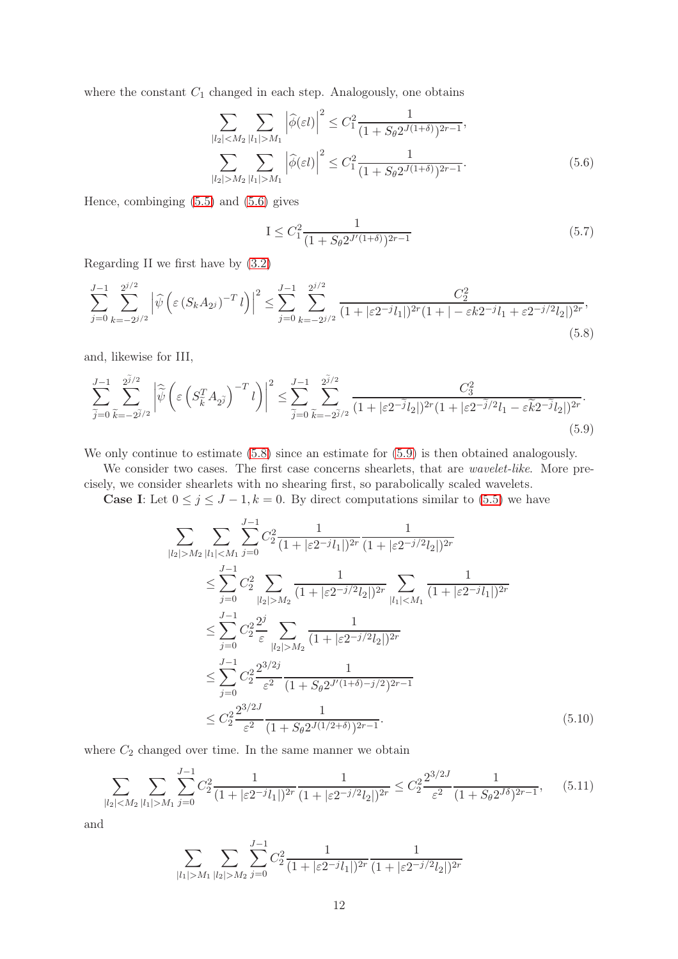where the constant  $C_1$  changed in each step. Analogously, one obtains

$$
\sum_{|l_2| < M_2} \sum_{|l_1| > M_1} \left| \widehat{\phi}(\varepsilon l) \right|^2 \le C_1^2 \frac{1}{(1 + S_\theta 2^{J(1+\delta)})^{2r-1}},
$$
\n
$$
\sum_{|l_2| > M_2} \sum_{|l_1| > M_1} \left| \widehat{\phi}(\varepsilon l) \right|^2 \le C_1^2 \frac{1}{(1 + S_\theta 2^{J(1+\delta)})^{2r-1}}.
$$
\n
$$
(5.6)
$$

Hence, combinging [\(5.5\)](#page-10-1) and [\(5.6\)](#page-11-0) gives

<span id="page-11-5"></span><span id="page-11-2"></span><span id="page-11-1"></span><span id="page-11-0"></span>
$$
I \leq C_1^2 \frac{1}{(1 + S_\theta 2^{J'(1+\delta)})^{2r-1}}\tag{5.7}
$$

Regarding II we first have by [\(3.2\)](#page-5-4)

$$
\sum_{j=0}^{J-1} \sum_{k=-2^{j/2}}^{2^{j/2}} \left| \widehat{\psi} \left( \varepsilon \left( S_k A_{2^j} \right)^{-T} l \right) \right|^2 \le \sum_{j=0}^{J-1} \sum_{k=-2^{j/2}}^{2^{j/2}} \frac{C_2^2}{(1+|\varepsilon 2^{-j} l_1|)^{2r} (1+|-\varepsilon k 2^{-j} l_1 + \varepsilon 2^{-j/2} l_2|)^{2r}},\tag{5.8}
$$

and, likewise for III,

$$
\sum_{\widetilde{j}=0}^{J-1} \sum_{\widetilde{k}=-2\widetilde{j}/2}^{2\widetilde{j}/2} \left| \widehat{\widetilde{\psi}} \left( \varepsilon \left( S_{\widetilde{k}}^T A_{2\widetilde{j}} \right)^{-T} l \right) \right|^2 \le \sum_{\widetilde{j}=0}^{J-1} \sum_{\widetilde{k}=-2\widetilde{j}/2}^{2\widetilde{j}/2} \frac{C_3^2}{(1+|\varepsilon 2^{-\widetilde{j}} l_2|)^{2r} (1+|\varepsilon 2^{-\widetilde{j}} l_2|)^{2r}}.
$$
\n(5.9)

We only continue to estimate  $(5.8)$  since an estimate for  $(5.9)$  is then obtained analogously.

We consider two cases. The first case concerns shearlets, that are *wavelet-like*. More precisely, we consider shearlets with no shearing first, so parabolically scaled wavelets.

**Case I:** Let  $0 \le j \le J - 1, k = 0$ . By direct computations similar to [\(5.5\)](#page-10-1) we have

$$
\sum_{|l_2|>M_2} \sum_{|l_1|\n
$$
\leq \sum_{j=0}^{J-1} C_2^2 \sum_{|l_2|>M_2} \frac{1}{(1+|\varepsilon 2^{-j/2}l_2|)^{2r}} \sum_{|l_1|\n
$$
\leq \sum_{j=0}^{J-1} C_2^2 \frac{2^j}{\varepsilon} \sum_{|l_2|>M_2} \frac{1}{(1+|\varepsilon 2^{-j/2}l_2|)^{2r}}
$$
\n
$$
\leq \sum_{j=0}^{J-1} C_2^2 \frac{2^{3/2j}}{\varepsilon^2} \frac{1}{(1+S_\theta 2^{J'(1+\delta)-j/2})^{2r-1}}
$$
\n
$$
\leq C_2^2 \frac{2^{3/2J}}{\varepsilon^2} \frac{1}{(1+S_\theta 2^{J(1/2+\delta)})^{2r-1}}.
$$
\n(5.10)
$$
$$

where  $C_2$  changed over time. In the same manner we obtain

$$
\sum_{|l_2| < M_2} \sum_{|l_1| > M_1} \sum_{j=0}^{J-1} C_2^2 \frac{1}{(1 + |\varepsilon 2^{-j} l_1|)^{2r}} \frac{1}{(1 + |\varepsilon 2^{-j/2} l_2|)^{2r}} \le C_2^2 \frac{2^{3/2J}}{\varepsilon^2} \frac{1}{(1 + S_\theta 2^{J\delta})^{2r-1}},\tag{5.11}
$$

and

<span id="page-11-4"></span><span id="page-11-3"></span>
$$
\sum_{|l_1| > M_1} \sum_{|l_2| > M_2} \sum_{j=0}^{J-1} C_2^2 \frac{1}{(1 + |\varepsilon 2^{-j} l_1|)^{2r}} \frac{1}{(1 + |\varepsilon 2^{-j/2} l_2|)^{2r}}
$$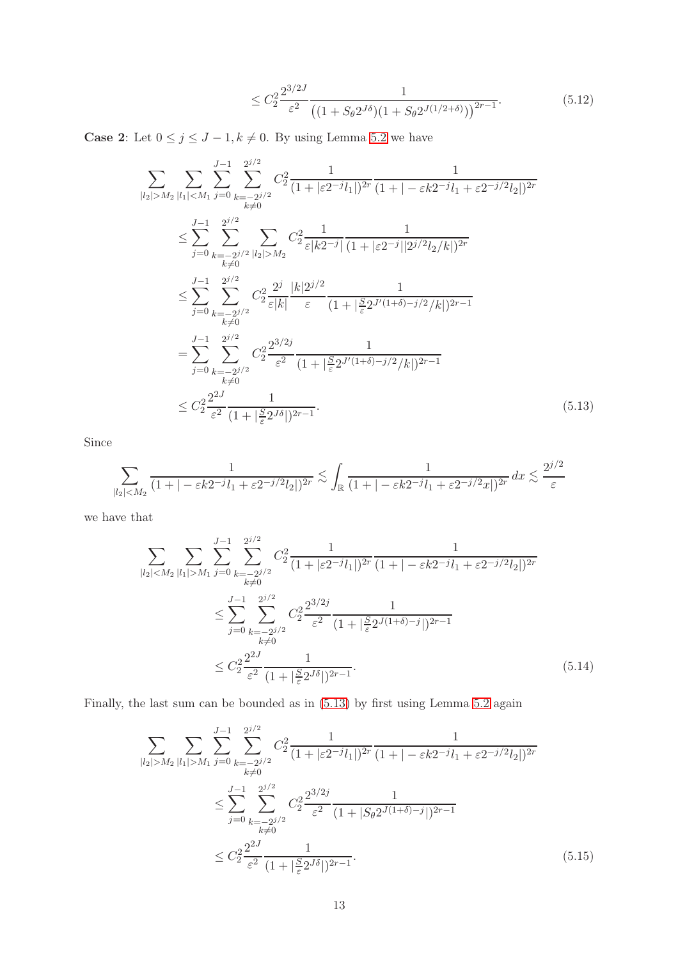<span id="page-12-1"></span><span id="page-12-0"></span>
$$
\leq C_2^2 \frac{2^{3/2J}}{\varepsilon^2} \frac{1}{\left( (1 + S_\theta 2^{J\delta})(1 + S_\theta 2^{J(1/2 + \delta)}) \right)^{2r - 1}}.\tag{5.12}
$$

**Case 2:** Let  $0 \leq j \leq J - 1, k \neq 0$ . By using Lemma [5.2](#page-9-3) we have

$$
\sum_{|l_2|>M_2} \sum_{|l_1|\n
$$
\leq \sum_{j=0}^{J-1} \sum_{k=-2^{j/2}}^{2^{j/2}} \sum_{|l_2|>M_2} C_2^2 \frac{1}{\varepsilon |k 2^{-j}|} \frac{1}{(1+|\varepsilon 2^{-j}||2^{j/2}l_2/k|)^{2r}}
$$
\n
$$
\leq \sum_{j=0}^{J-1} \sum_{\substack{k=-2^{j/2} \\ k \neq 0}}^{2^{j/2}} C_2^2 \frac{2^j}{\varepsilon |k|} \frac{|k|2^{j/2}}{\varepsilon} \frac{1}{(1+|\frac{S}{\varepsilon}2^{J'(1+\delta)-j/2}/k|)^{2r-1}}
$$
\n
$$
= \sum_{j=0}^{J-1} \sum_{\substack{k=-2^{j/2} \\ k \neq 0}}^{2^{j/2}} C_2^2 \frac{2^{3/2j}}{\varepsilon^2} \frac{1}{(1+|\frac{S}{\varepsilon}2^{J'(1+\delta)-j/2}/k|)^{2r-1}}
$$
\n
$$
\leq C_2^2 \frac{2^{2J}}{\varepsilon^2} \frac{1}{(1+|\frac{S}{\varepsilon}2^{J(1+\delta)-j/2}/k|)^{2r-1}}.
$$
\n(5.13)
$$

Since

$$
\sum_{|l_2|
$$

we have that

$$
\sum_{|l_2| < M_2} \sum_{|l_1| > M_1} \sum_{j=0}^{J-1} \sum_{\substack{k=-2^{j/2} \\ k \neq 0}}^{2^{j/2}} C_2^2 \frac{1}{(1+|\varepsilon 2^{-j}l_1|)^{2r}} \frac{1}{(1+|-\varepsilon k 2^{-j}l_1 + \varepsilon 2^{-j/2}l_2|)^{2r}}
$$
\n
$$
\leq \sum_{j=0}^{J-1} \sum_{\substack{k=-2^{j/2} \\ k \neq 0}}^{2^{j/2}} C_2^2 \frac{2^{3/2j}}{\varepsilon^2} \frac{1}{(1+|\frac{S}{\varepsilon}2^{J(1+\delta)-j}|)^{2r-1}}
$$
\n
$$
\leq C_2^2 \frac{2^{2J}}{\varepsilon^2} \frac{1}{(1+|\frac{S}{\varepsilon}2^{J\delta}|)^{2r-1}}.
$$
\n(5.14)

Finally, the last sum can be bounded as in [\(5.13\)](#page-12-0) by first using Lemma [5.2](#page-9-3) again

<span id="page-12-3"></span><span id="page-12-2"></span>
$$
\sum_{|l_{2}| > M_{2}} \sum_{|l_{1}| > M_{1}} \sum_{j=0}^{J-1} \sum_{\substack{k=-2^{j/2} \\ k \neq 0}}^{2^{j/2}} C_{2}^{2} \frac{1}{(1+|\varepsilon 2^{-j}l_{1}|)^{2r}} \frac{1}{(1+|-\varepsilon k 2^{-j}l_{1}+\varepsilon 2^{-j/2}l_{2}|)^{2r}}
$$
  

$$
\leq \sum_{j=0}^{J-1} \sum_{\substack{k=-2^{j/2} \\ k \neq 0}}^{2^{j/2}} C_{2}^{2} \frac{2^{3/2j}}{\varepsilon^{2}} \frac{1}{(1+|S_{\theta}2^{J(1+\delta)-j}|)^{2r-1}}
$$
  

$$
\leq C_{2}^{2} \frac{2^{2J}}{\varepsilon^{2}} \frac{1}{(1+|\frac{S}{\varepsilon}2^{J\delta}|)^{2r-1}}.
$$
 (5.15)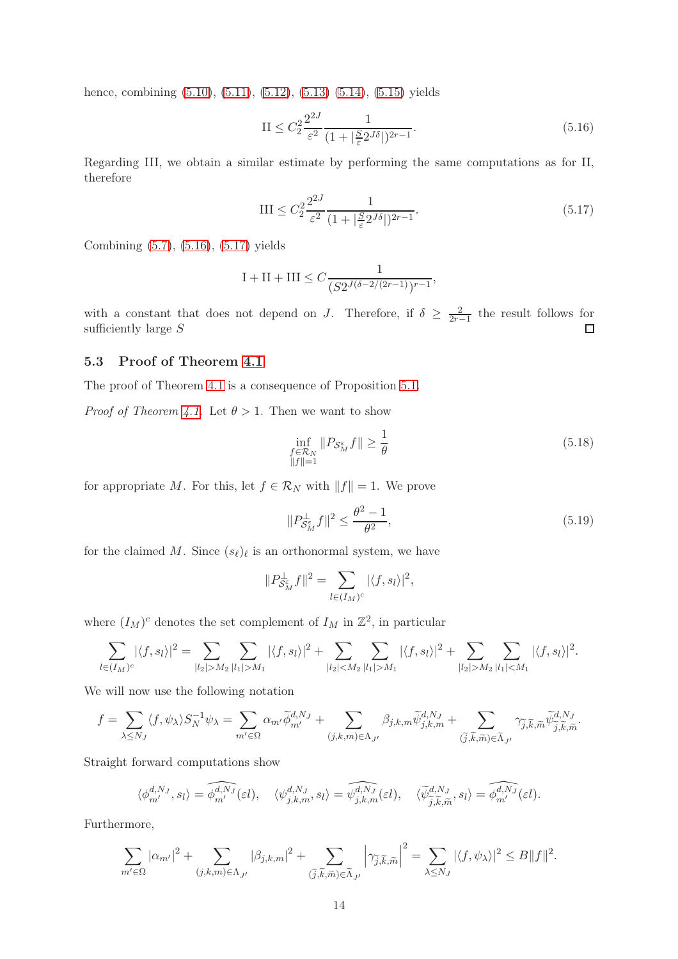hence, combining  $(5.10)$ ,  $(5.11)$ ,  $(5.12)$ ,  $(5.13)$   $(5.14)$ ,  $(5.15)$  yields

<span id="page-13-0"></span>
$$
\text{II} \le C_2^2 \frac{2^{2J}}{\varepsilon^2} \frac{1}{(1 + |\frac{S}{\varepsilon} 2^{J\delta}|)^{2r - 1}}.\tag{5.16}
$$

Regarding III, we obtain a similar estimate by performing the same computations as for II, therefore

<span id="page-13-1"></span>
$$
III \leq C_2^2 \frac{2^{2J}}{\varepsilon^2} \frac{1}{(1 + |\frac{S}{\varepsilon} 2^{J\delta}|)^{2r - 1}}.
$$
\n(5.17)

Combining [\(5.7\)](#page-11-5), [\(5.16\)](#page-13-0), [\(5.17\)](#page-13-1) yields

$$
\mathrm{I} + \mathrm{II} + \mathrm{III} \leq C \frac{1}{(S 2^{J (\delta - 2/(2r-1))} )^{r-1}},
$$

with a constant that does not depend on J. Therefore, if  $\delta \geq \frac{2}{2r-1}$  the result follows for sufficiently large S  $\Box$ 

### 5.3 Proof of Theorem [4.1](#page-8-3)

The proof of Theorem [4.1](#page-8-3) is a consequence of Proposition [5.1.](#page-9-2)

*Proof of Theorem [4.1.](#page-8-3)* Let  $\theta > 1$ . Then we want to show

$$
\inf_{\substack{f \in \mathcal{R}_N \\ \|f\| = 1}} \|P_{\mathcal{S}_M^{\varepsilon}} f\| \ge \frac{1}{\theta} \tag{5.18}
$$

for appropriate M. For this, let  $f \in \mathcal{R}_N$  with  $||f|| = 1$ . We prove

<span id="page-13-2"></span>
$$
||P_{\mathcal{S}_M^{\varepsilon}}^{\perp} f||^2 \le \frac{\theta^2 - 1}{\theta^2},\tag{5.19}
$$

for the claimed M. Since  $(s_{\ell})_{\ell}$  is an orthonormal system, we have

$$
||P_{\mathcal{S}_M^{\varepsilon}}^{\perp} f||^2 = \sum_{l \in (I_M)^c} |\langle f, s_l \rangle|^2,
$$

where  $(I_M)^c$  denotes the set complement of  $I_M$  in  $\mathbb{Z}^2$ , in particular

$$
\sum_{l \in (I_M)^c} |\langle f, s_l \rangle|^2 = \sum_{|l_2| > M_2} \sum_{|l_1| > M_1} |\langle f, s_l \rangle|^2 + \sum_{|l_2| < M_2} \sum_{|l_1| > M_1} |\langle f, s_l \rangle|^2 + \sum_{|l_2| > M_2} \sum_{|l_1| < M_1} |\langle f, s_l \rangle|^2.
$$

We will now use the following notation

$$
f = \sum_{\lambda \le N_J} \langle f, \psi_\lambda \rangle S_N^{-1} \psi_\lambda = \sum_{m' \in \Omega} \alpha_{m'} \widetilde{\phi}_{m'}^{d,N_J} + \sum_{(j,k,m) \in \Lambda_{J'}} \beta_{j,k,m} \widetilde{\psi}_{j,k,m}^{d,N_J} + \sum_{(\tilde{j}, \tilde{k}, \tilde{m}) \in \widetilde{\Lambda}_{J'}} \gamma_{\tilde{j}, \tilde{k}, \tilde{m}} \widetilde{\psi}_{\tilde{j}, \tilde{k}, \tilde{m}}^{d,N_J}.
$$

Straight forward computations show

$$
\langle \phi^{d,N_J}_{m'}, s_l \rangle = \widehat{\phi^{d,N_J}_{m'}}(\varepsilon l), \quad \langle \psi^{d,N_J}_{j,k,m}, s_l \rangle = \widehat{\psi^{d,N_J}_{j,k,m}}(\varepsilon l), \quad \langle \widetilde{\psi}^{d,N_J}_{\widetilde{j},\widetilde{k},\widetilde{m}}, s_l \rangle = \widehat{\phi^{d,N_J}_{m'}}(\varepsilon l).
$$

Furthermore,

$$
\sum_{m'\in\Omega}|\alpha_{m'}|^2+\sum_{(j,k,m)\in\Lambda_{J'}}|\beta_{j,k,m}|^2+\sum_{(\widetilde{j},\widetilde{k},\widetilde{m})\in\widetilde{\Lambda}_{J'}}\left|\gamma_{\widetilde{j},\widetilde{k},\widetilde{m}}\right|^2=\sum_{\lambda\leq N_J}|\langle f,\psi_\lambda\rangle|^2\leq B\|f\|^2.
$$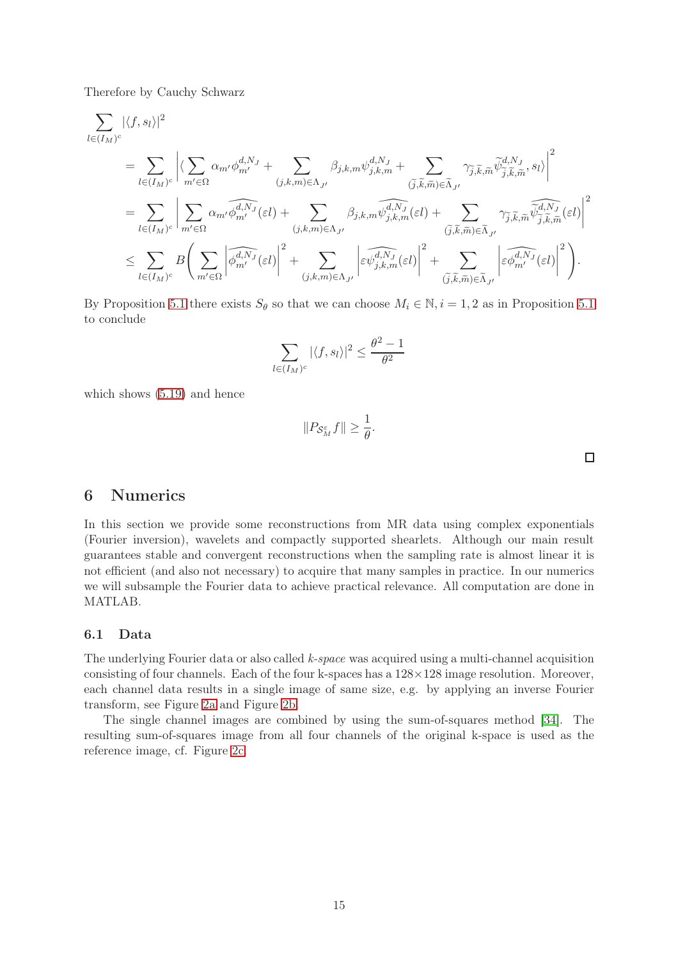Therefore by Cauchy Schwarz

$$
\begin{split} &\sum_{l\in (I_{M})^{c}}|\langle f,s_{l}\rangle|^{2}\\ &=\sum_{l\in (I_{M})^{c}}\bigg|\big\langle\sum_{m'\in\Omega}\alpha_{m'}\phi_{m'}^{d,N_{J}}+\sum_{(j,k,m)\in\Lambda_{J'}}\beta_{j,k,m}\psi_{j,k,m}^{d,N_{J}}+\sum_{(\widetilde{j},\widetilde{k},\widetilde{m})\in\widetilde{\Lambda}_{J'}}\gamma_{\widetilde{j},\widetilde{k},\widetilde{m}}\widetilde{\psi}_{\widetilde{j},\widetilde{k},\widetilde{m}}^{d,N_{J}},s_{l}\bigg)^{2}\\ &=\sum_{l\in (I_{M})^{c}}\bigg|\sum_{m'\in\Omega}\alpha_{m'}\widehat{\phi}_{m'}^{d,N_{J}}(\varepsilon l)+\sum_{(j,k,m)\in\Lambda_{J'}}\beta_{j,k,m}\widehat{\psi}_{j,k,m}^{d,N_{J}}(\varepsilon l)+\sum_{(\widetilde{j},\widetilde{k},\widetilde{m})\in\widetilde{\Lambda}_{J'}}\gamma_{\widetilde{j},\widetilde{k},\widetilde{m}}\widehat{\psi}_{\widetilde{j},\widetilde{k},\widetilde{m}}^{d,N_{J}}(\varepsilon l)\bigg|^{2}\\ &\leq \sum_{l\in (I_{M})^{c}}B\Bigg(\sum_{m'\in\Omega}\left|\widehat{\phi}_{m'}^{d,N_{J}}(\varepsilon l)\right|^{2}+\sum_{(j,k,m)\in\Lambda_{J'}}\left|\widehat{\varepsilon\psi}_{j,k,m}^{d,N_{J}}(\varepsilon l)\right|^{2}+\sum_{(\widetilde{j},\widetilde{k},\widetilde{m})\in\widetilde{\Lambda}_{J'}}\left|\widehat{\varepsilon\phi}_{m'}^{d,N_{J}}(\varepsilon l)\right|^{2}\Bigg). \end{split}
$$

By Proposition [5.1](#page-9-2) there exists  $S_{\theta}$  so that we can choose  $M_i \in \mathbb{N}, i = 1, 2$  as in Proposition 5.1 to conclude

$$
\sum_{l \in (I_M)^c} |\langle f, s_l \rangle|^2 \le \frac{\theta^2 - 1}{\theta^2}
$$

which shows [\(5.19\)](#page-13-2) and hence

$$
||P_{\mathcal{S}_M^{\varepsilon}}f|| \geq \frac{1}{\theta}.
$$

 $\Box$ 

# <span id="page-14-0"></span>6 Numerics

In this section we provide some reconstructions from MR data using complex exponentials (Fourier inversion), wavelets and compactly supported shearlets. Although our main result guarantees stable and convergent reconstructions when the sampling rate is almost linear it is not efficient (and also not necessary) to acquire that many samples in practice. In our numerics we will subsample the Fourier data to achieve practical relevance. All computation are done in MATLAB.

### 6.1 Data

The underlying Fourier data or also called k-space was acquired using a multi-channel acquisition consisting of four channels. Each of the four k-spaces has a  $128\times128$  image resolution. Moreover, each channel data results in a single image of same size, e.g. by applying an inverse Fourier transform, see Figure [2a](#page-15-0) and Figure [2b.](#page-15-0)

The single channel images are combined by using the sum-of-squares method [\[34\]](#page-19-14). The resulting sum-of-squares image from all four channels of the original k-space is used as the reference image, cf. Figure [2c.](#page-15-0)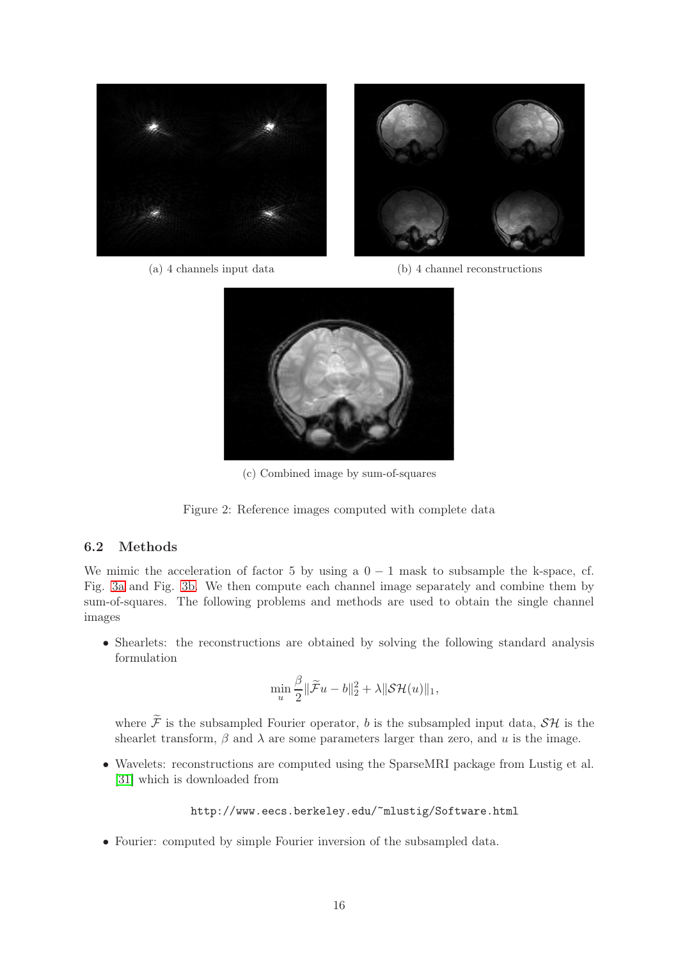<span id="page-15-0"></span>



(a) 4 channels input data

(b) 4 channel reconstructions



(c) Combined image by sum-of-squares



### 6.2 Methods

We mimic the acceleration of factor 5 by using a  $0 - 1$  mask to subsample the k-space, cf. Fig. [3a](#page-16-0) and Fig. [3b.](#page-16-0) We then compute each channel image separately and combine them by sum-of-squares. The following problems and methods are used to obtain the single channel images

• Shearlets: the reconstructions are obtained by solving the following standard analysis formulation

$$
\min_{u} \frac{\beta}{2} \|\widetilde{\mathcal{F}}u - b\|_2^2 + \lambda \|\mathcal{SH}(u)\|_1,
$$

where  $\widetilde{\mathcal{F}}$  is the subsampled Fourier operator, b is the subsampled input data,  $\mathcal{SH}$  is the shearlet transform,  $\beta$  and  $\lambda$  are some parameters larger than zero, and u is the image.

• Wavelets: reconstructions are computed using the SparseMRI package from Lustig et al. [\[31\]](#page-19-5) which is downloaded from

http://www.eecs.berkeley.edu/~mlustig/Software.html

• Fourier: computed by simple Fourier inversion of the subsampled data.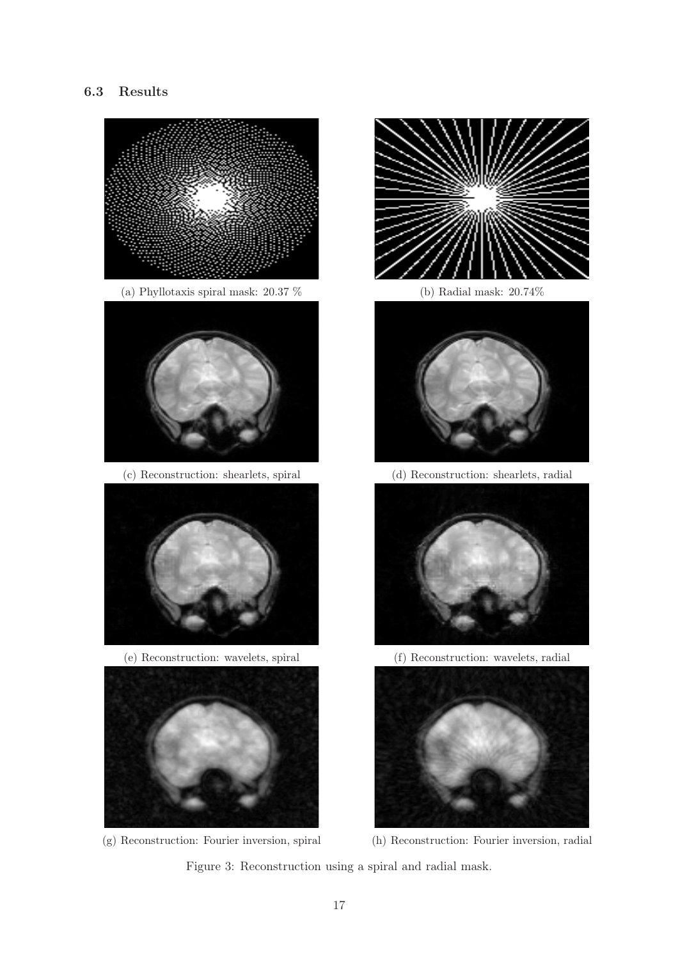# <span id="page-16-0"></span>6.3 Results





(b) Radial mask: 20.74%



(d) Reconstruction: shearlets, radial



(f) Reconstruction: wavelets, radial





Figure 3: Reconstruction using a spiral and radial mask.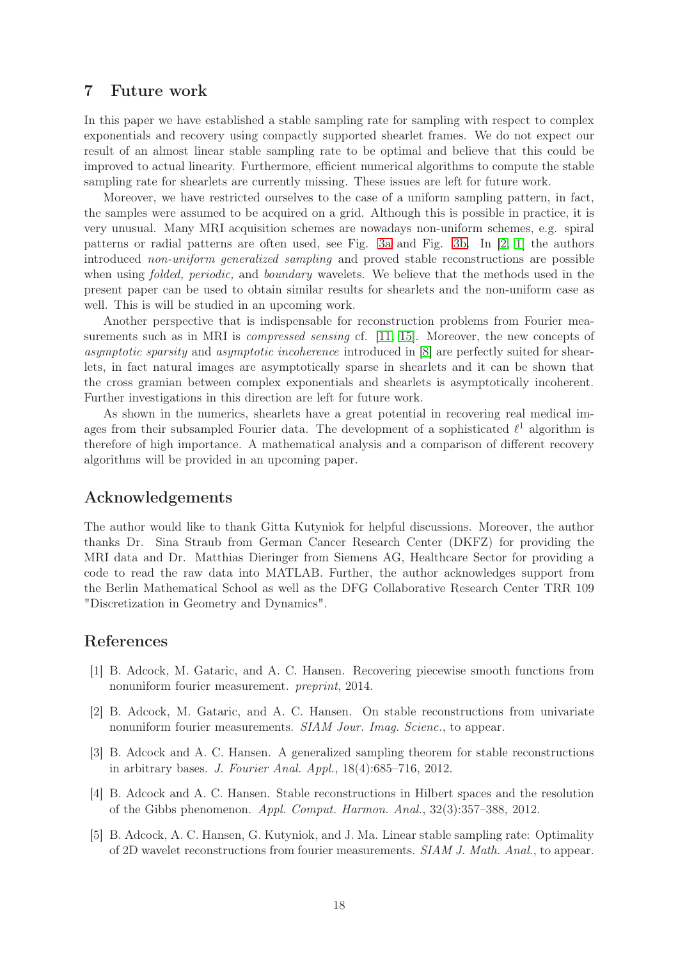# 7 Future work

In this paper we have established a stable sampling rate for sampling with respect to complex exponentials and recovery using compactly supported shearlet frames. We do not expect our result of an almost linear stable sampling rate to be optimal and believe that this could be improved to actual linearity. Furthermore, efficient numerical algorithms to compute the stable sampling rate for shearlets are currently missing. These issues are left for future work.

Moreover, we have restricted ourselves to the case of a uniform sampling pattern, in fact, the samples were assumed to be acquired on a grid. Although this is possible in practice, it is very unusual. Many MRI acquisition schemes are nowadays non-uniform schemes, e.g. spiral patterns or radial patterns are often used, see Fig. [3a](#page-16-0) and Fig. [3b.](#page-16-0) In [\[2,](#page-17-3) [1\]](#page-17-4) the authors introduced non-uniform generalized sampling and proved stable reconstructions are possible when using *folded, periodic*, and *boundary* wavelets. We believe that the methods used in the present paper can be used to obtain similar results for shearlets and the non-uniform case as well. This is will be studied in an upcoming work.

Another perspective that is indispensable for reconstruction problems from Fourier measurements such as in MRI is *compressed sensing* cf. [\[11,](#page-18-14) [15\]](#page-18-15). Moreover, the new concepts of asymptotic sparsity and asymptotic incoherence introduced in [\[8\]](#page-18-16) are perfectly suited for shearlets, in fact natural images are asymptotically sparse in shearlets and it can be shown that the cross gramian between complex exponentials and shearlets is asymptotically incoherent. Further investigations in this direction are left for future work.

As shown in the numerics, shearlets have a great potential in recovering real medical images from their subsampled Fourier data. The development of a sophisticated  $\ell^1$  algorithm is therefore of high importance. A mathematical analysis and a comparison of different recovery algorithms will be provided in an upcoming paper.

# Acknowledgements

The author would like to thank Gitta Kutyniok for helpful discussions. Moreover, the author thanks Dr. Sina Straub from German Cancer Research Center (DKFZ) for providing the MRI data and Dr. Matthias Dieringer from Siemens AG, Healthcare Sector for providing a code to read the raw data into MATLAB. Further, the author acknowledges support from the Berlin Mathematical School as well as the DFG Collaborative Research Center TRR 109 "Discretization in Geometry and Dynamics".

# <span id="page-17-4"></span>References

- [1] B. Adcock, M. Gataric, and A. C. Hansen. Recovering piecewise smooth functions from nonuniform fourier measurement. preprint, 2014.
- <span id="page-17-3"></span>[2] B. Adcock, M. Gataric, and A. C. Hansen. On stable reconstructions from univariate nonuniform fourier measurements. SIAM Jour. Imag. Scienc., to appear.
- <span id="page-17-0"></span>[3] B. Adcock and A. C. Hansen. A generalized sampling theorem for stable reconstructions in arbitrary bases. J. Fourier Anal. Appl., 18(4):685–716, 2012.
- <span id="page-17-1"></span>[4] B. Adcock and A. C. Hansen. Stable reconstructions in Hilbert spaces and the resolution of the Gibbs phenomenon. Appl. Comput. Harmon. Anal., 32(3):357–388, 2012.
- <span id="page-17-2"></span>[5] B. Adcock, A. C. Hansen, G. Kutyniok, and J. Ma. Linear stable sampling rate: Optimality of 2D wavelet reconstructions from fourier measurements. SIAM J. Math. Anal., to appear.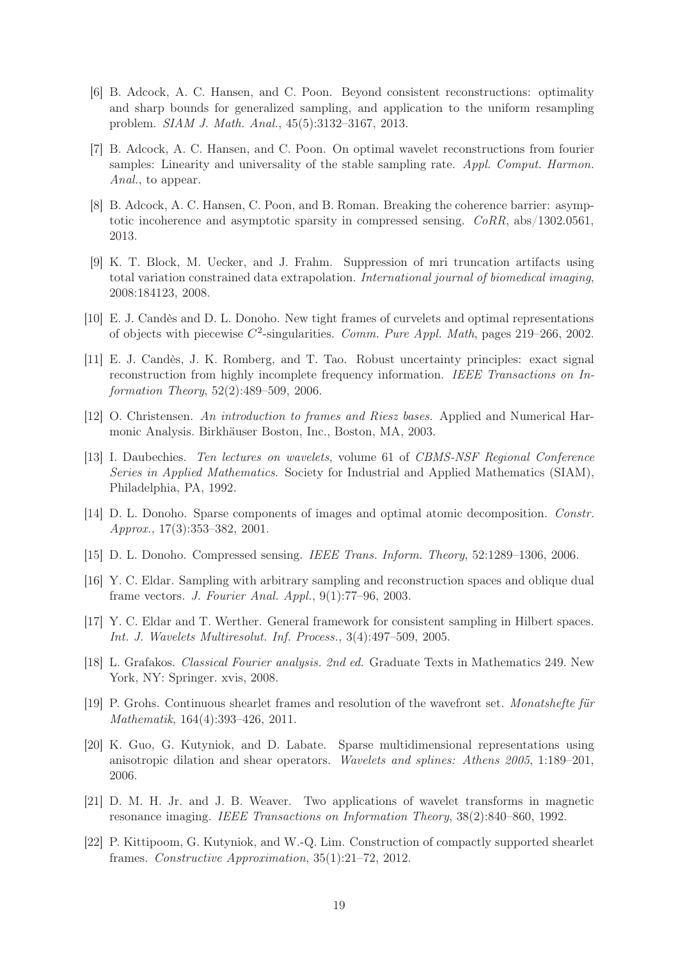- <span id="page-18-2"></span>[6] B. Adcock, A. C. Hansen, and C. Poon. Beyond consistent reconstructions: optimality and sharp bounds for generalized sampling, and application to the uniform resampling problem. SIAM J. Math. Anal., 45(5):3132–3167, 2013.
- <span id="page-18-7"></span>[7] B. Adcock, A. C. Hansen, and C. Poon. On optimal wavelet reconstructions from fourier samples: Linearity and universality of the stable sampling rate. Appl. Comput. Harmon. Anal., to appear.
- <span id="page-18-16"></span>[8] B. Adcock, A. C. Hansen, C. Poon, and B. Roman. Breaking the coherence barrier: asymptotic incoherence and asymptotic sparsity in compressed sensing.  $CoRR$ , abs/1302.0561, 2013.
- <span id="page-18-8"></span>[9] K. T. Block, M. Uecker, and J. Frahm. Suppression of mri truncation artifacts using total variation constrained data extrapolation. International journal of biomedical imaging, 2008:184123, 2008.
- <span id="page-18-14"></span><span id="page-18-4"></span>[10] E. J. Candès and D. L. Donoho. New tight frames of curvelets and optimal representations of objects with piecewise  $C^2$ -singularities. Comm. Pure Appl. Math, pages 219–266, 2002.
- [11] E. J. Candès, J. K. Romberg, and T. Tao. Robust uncertainty principles: exact signal reconstruction from highly incomplete frequency information. IEEE Transactions on Information Theory, 52(2):489–509, 2006.
- <span id="page-18-9"></span>[12] O. Christensen. An introduction to frames and Riesz bases. Applied and Numerical Harmonic Analysis. Birkhäuser Boston, Inc., Boston, MA, 2003.
- <span id="page-18-3"></span>[13] I. Daubechies. Ten lectures on wavelets, volume 61 of CBMS-NSF Regional Conference Series in Applied Mathematics. Society for Industrial and Applied Mathematics (SIAM), Philadelphia, PA, 1992.
- <span id="page-18-5"></span>[14] D. L. Donoho. Sparse components of images and optimal atomic decomposition. Constr. Approx., 17(3):353–382, 2001.
- <span id="page-18-15"></span><span id="page-18-0"></span>[15] D. L. Donoho. Compressed sensing. IEEE Trans. Inform. Theory, 52:1289–1306, 2006.
- [16] Y. C. Eldar. Sampling with arbitrary sampling and reconstruction spaces and oblique dual frame vectors. J. Fourier Anal. Appl., 9(1):77–96, 2003.
- <span id="page-18-13"></span><span id="page-18-1"></span>[17] Y. C. Eldar and T. Werther. General framework for consistent sampling in Hilbert spaces. Int. J. Wavelets Multiresolut. Inf. Process., 3(4):497–509, 2005.
- [18] L. Grafakos. Classical Fourier analysis. 2nd ed. Graduate Texts in Mathematics 249. New York, NY: Springer. xvis, 2008.
- <span id="page-18-12"></span>[19] P. Grohs. Continuous shearlet frames and resolution of the wavefront set. Monatshefte für Mathematik, 164(4):393–426, 2011.
- <span id="page-18-10"></span>[20] K. Guo, G. Kutyniok, and D. Labate. Sparse multidimensional representations using anisotropic dilation and shear operators. Wavelets and splines: Athens 2005, 1:189–201, 2006.
- <span id="page-18-6"></span>[21] D. M. H. Jr. and J. B. Weaver. Two applications of wavelet transforms in magnetic resonance imaging. IEEE Transactions on Information Theory, 38(2):840–860, 1992.
- <span id="page-18-11"></span>[22] P. Kittipoom, G. Kutyniok, and W.-Q. Lim. Construction of compactly supported shearlet frames. Constructive Approximation, 35(1):21–72, 2012.